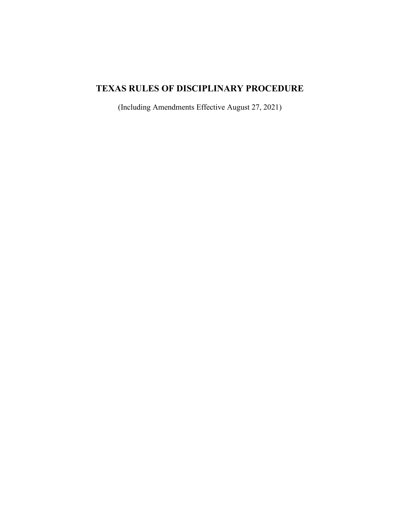# **TEXAS RULES OF DISCIPLINARY PROCEDURE**

(Including Amendments Effective August 27, 2021)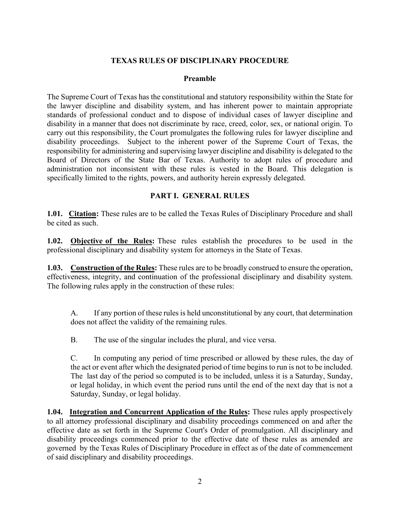#### **TEXAS RULES OF DISCIPLINARY PROCEDURE**

#### **Preamble**

The Supreme Court of Texas has the constitutional and statutory responsibility within the State for the lawyer discipline and disability system, and has inherent power to maintain appropriate standards of professional conduct and to dispose of individual cases of lawyer discipline and disability in a manner that does not discriminate by race, creed, color, sex, or national origin. To carry out this responsibility, the Court promulgates the following rules for lawyer discipline and disability proceedings. Subject to the inherent power of the Supreme Court of Texas, the responsibility for administering and supervising lawyer discipline and disability is delegated to the Board of Directors of the State Bar of Texas. Authority to adopt rules of procedure and administration not inconsistent with these rules is vested in the Board. This delegation is specifically limited to the rights, powers, and authority herein expressly delegated.

#### **PART I. GENERAL RULES**

**1.01. Citation:** These rules are to be called the Texas Rules of Disciplinary Procedure and shall be cited as such.

**1.02. Objective of the Rules:** These rules establish the procedures to be used in the professional disciplinary and disability system for attorneys in the State of Texas.

**1.03. Construction of the Rules:** These rules are to be broadly construed to ensure the operation, effectiveness, integrity, and continuation of the professional disciplinary and disability system. The following rules apply in the construction of these rules:

A. If any portion of these rules is held unconstitutional by any court, that determination does not affect the validity of the remaining rules.

B. The use of the singular includes the plural, and vice versa.

C. In computing any period of time prescribed or allowed by these rules, the day of the act or event after which the designated period of time begins to run is not to be included. The last day of the period so computed is to be included, unless it is a Saturday, Sunday, or legal holiday, in which event the period runs until the end of the next day that is not a Saturday, Sunday, or legal holiday.

**1.04. Integration and Concurrent Application of the Rules:** These rules apply prospectively to all attorney professional disciplinary and disability proceedings commenced on and after the effective date as set forth in the Supreme Court's Order of promulgation. All disciplinary and disability proceedings commenced prior to the effective date of these rules as amended are governed by the Texas Rules of Disciplinary Procedure in effect as of the date of commencement of said disciplinary and disability proceedings.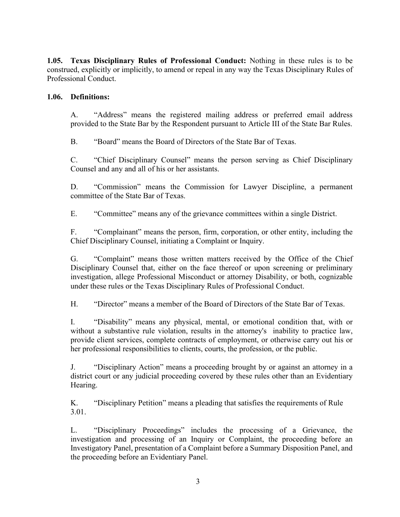**1.05. Texas Disciplinary Rules of Professional Conduct:** Nothing in these rules is to be construed, explicitly or implicitly, to amend or repeal in any way the Texas Disciplinary Rules of Professional Conduct.

#### **1.06. Definitions:**

A. "Address" means the registered mailing address or preferred email address provided to the State Bar by the Respondent pursuant to Article III of the State Bar Rules.

B. "Board" means the Board of Directors of the State Bar of Texas.

C. "Chief Disciplinary Counsel" means the person serving as Chief Disciplinary Counsel and any and all of his or her assistants.

D. "Commission" means the Commission for Lawyer Discipline, a permanent committee of the State Bar of Texas.

E. "Committee" means any of the grievance committees within a single District.

F. "Complainant" means the person, firm, corporation, or other entity, including the Chief Disciplinary Counsel, initiating a Complaint or Inquiry.

G. "Complaint" means those written matters received by the Office of the Chief Disciplinary Counsel that, either on the face thereof or upon screening or preliminary investigation, allege Professional Misconduct or attorney Disability, or both, cognizable under these rules or the Texas Disciplinary Rules of Professional Conduct.

H. "Director" means a member of the Board of Directors of the State Bar of Texas.

I. "Disability" means any physical, mental, or emotional condition that, with or without a substantive rule violation, results in the attorney's inability to practice law, provide client services, complete contracts of employment, or otherwise carry out his or her professional responsibilities to clients, courts, the profession, or the public.

J. "Disciplinary Action" means a proceeding brought by or against an attorney in a district court or any judicial proceeding covered by these rules other than an Evidentiary Hearing.

K. "Disciplinary Petition" means a pleading that satisfies the requirements of Rule 3.01.

L. "Disciplinary Proceedings" includes the processing of a Grievance, the investigation and processing of an Inquiry or Complaint, the proceeding before an Investigatory Panel, presentation of a Complaint before a Summary Disposition Panel, and the proceeding before an Evidentiary Panel.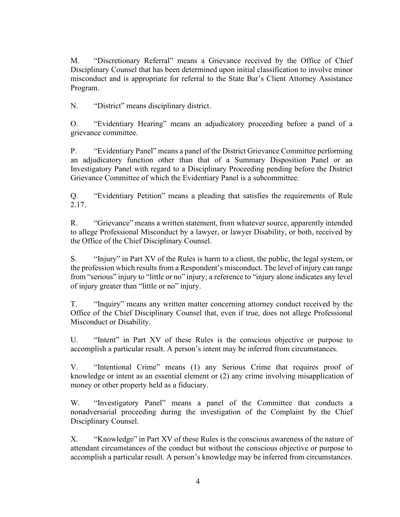M. "Discretionary Referral" means a Grievance received by the Office of Chief Disciplinary Counsel that has been determined upon initial classification to involve minor misconduct and is appropriate for referral to the State Bar's Client Attorney Assistance Program.

N. "District" means disciplinary district.

O. "Evidentiary Hearing" means an adjudicatory proceeding before a panel of a grievance committee.

P. "Evidentiary Panel" means a panel of the District Grievance Committee performing an adjudicatory function other than that of a Summary Disposition Panel or an Investigatory Panel with regard to a Disciplinary Proceeding pending before the District Grievance Committee of which the Evidentiary Panel is a subcommittee.

Q. "Evidentiary Petition" means a pleading that satisfies the requirements of Rule 2.17.

R. "Grievance" means a written statement, from whatever source, apparently intended to allege Professional Misconduct by a lawyer, or lawyer Disability, or both, received by the Office of the Chief Disciplinary Counsel.

S. "Injury" in Part XV of the Rules is harm to a client, the public, the legal system, or the profession which results from a Respondent's misconduct. The level of injury can range from "serious" injury to "little or no" injury; a reference to "injury alone indicates any level of injury greater than "little or no" injury.

T. "Inquiry" means any written matter concerning attorney conduct received by the Office of the Chief Disciplinary Counsel that, even if true, does not allege Professional Misconduct or Disability.

U. "Intent" in Part XV of these Rules is the conscious objective or purpose to accomplish a particular result. A person's intent may be inferred from circumstances.

V. "Intentional Crime" means (1) any Serious Crime that requires proof of knowledge or intent as an essential element or (2) any crime involving misapplication of money or other property held as a fiduciary.

W. "Investigatory Panel" means a panel of the Committee that conducts a nonadversarial proceeding during the investigation of the Complaint by the Chief Disciplinary Counsel.

X. "Knowledge" in Part XV of these Rules is the conscious awareness of the nature of attendant circumstances of the conduct but without the conscious objective or purpose to accomplish a particular result. A person's knowledge may be inferred from circumstances.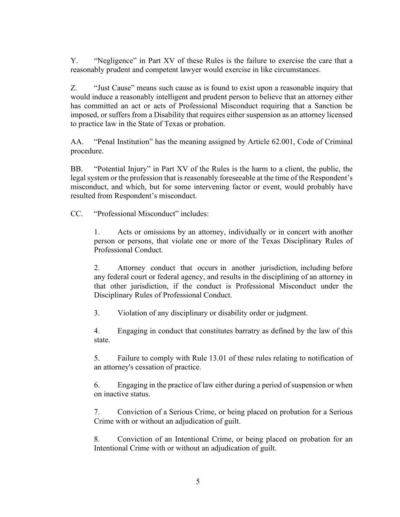Y. "Negligence" in Part XV of these Rules is the failure to exercise the care that a reasonably prudent and competent lawyer would exercise in like circumstances.

Z. "Just Cause" means such cause as is found to exist upon a reasonable inquiry that would induce a reasonably intelligent and prudent person to believe that an attorney either has committed an act or acts of Professional Misconduct requiring that a Sanction be imposed, or suffers from a Disability that requires either suspension as an attorney licensed to practice law in the State of Texas or probation.

AA. "Penal Institution" has the meaning assigned by Article 62.001, Code of Criminal procedure.

BB. "Potential Injury" in Part XV of the Rules is the harm to a client, the public, the legal system or the profession that is reasonably foreseeable at the time of the Respondent's misconduct, and which, but for some intervening factor or event, would probably have resulted from Respondent's misconduct.

CC. "Professional Misconduct" includes:

1. Acts or omissions by an attorney, individually or in concert with another person or persons, that violate one or more of the Texas Disciplinary Rules of Professional Conduct.

2. Attorney conduct that occurs in another jurisdiction, including before any federal court or federal agency, and results in the disciplining of an attorney in that other jurisdiction, if the conduct is Professional Misconduct under the Disciplinary Rules of Professional Conduct.

3. Violation of any disciplinary or disability order or judgment.

4. Engaging in conduct that constitutes barratry as defined by the law of this state.

5. Failure to comply with Rule 13.01 of these rules relating to notification of an attorney's cessation of practice.

6. Engaging in the practice of law either during a period of suspension or when on inactive status.

7. Conviction of a Serious Crime, or being placed on probation for a Serious Crime with or without an adjudication of guilt.

8. Conviction of an Intentional Crime, or being placed on probation for an Intentional Crime with or without an adjudication of guilt.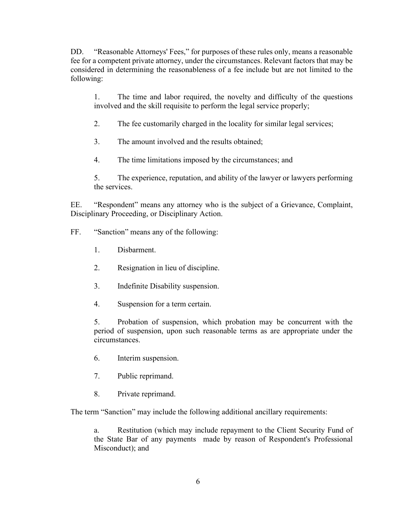DD. "Reasonable Attorneys' Fees," for purposes of these rules only, means a reasonable fee for a competent private attorney, under the circumstances. Relevant factors that may be considered in determining the reasonableness of a fee include but are not limited to the following:

1. The time and labor required, the novelty and difficulty of the questions involved and the skill requisite to perform the legal service properly;

2. The fee customarily charged in the locality for similar legal services;

3. The amount involved and the results obtained;

4. The time limitations imposed by the circumstances; and

5. The experience, reputation, and ability of the lawyer or lawyers performing the services.

EE. "Respondent" means any attorney who is the subject of a Grievance, Complaint, Disciplinary Proceeding, or Disciplinary Action.

FF. "Sanction" means any of the following:

- 1. Disbarment.
- 2. Resignation in lieu of discipline.
- 3. Indefinite Disability suspension.
- 4. Suspension for a term certain.

5. Probation of suspension, which probation may be concurrent with the period of suspension, upon such reasonable terms as are appropriate under the circumstances.

- 6. Interim suspension.
- 7. Public reprimand.
- 8. Private reprimand.

The term "Sanction" may include the following additional ancillary requirements:

a. Restitution (which may include repayment to the Client Security Fund of the State Bar of any payments made by reason of Respondent's Professional Misconduct); and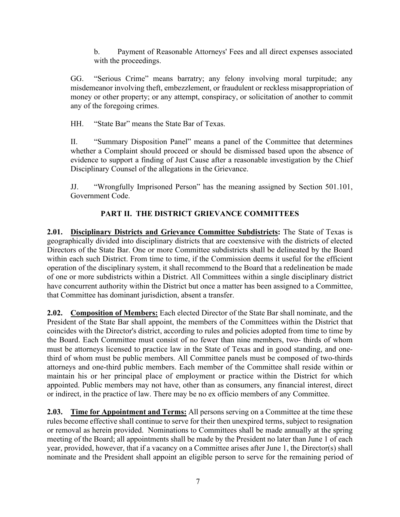b. Payment of Reasonable Attorneys' Fees and all direct expenses associated with the proceedings.

GG. "Serious Crime" means barratry; any felony involving moral turpitude; any misdemeanor involving theft, embezzlement, or fraudulent or reckless misappropriation of money or other property; or any attempt, conspiracy, or solicitation of another to commit any of the foregoing crimes.

HH. "State Bar" means the State Bar of Texas.

II. "Summary Disposition Panel" means a panel of the Committee that determines whether a Complaint should proceed or should be dismissed based upon the absence of evidence to support a finding of Just Cause after a reasonable investigation by the Chief Disciplinary Counsel of the allegations in the Grievance.

JJ. "Wrongfully Imprisoned Person" has the meaning assigned by Section 501.101, Government Code.

# **PART II. THE DISTRICT GRIEVANCE COMMITTEES**

**2.01. Disciplinary Districts and Grievance Committee Subdistricts:** The State of Texas is geographically divided into disciplinary districts that are coextensive with the districts of elected Directors of the State Bar. One or more Committee subdistricts shall be delineated by the Board within each such District. From time to time, if the Commission deems it useful for the efficient operation of the disciplinary system, it shall recommend to the Board that a redelineation be made of one or more subdistricts within a District. All Committees within a single disciplinary district have concurrent authority within the District but once a matter has been assigned to a Committee, that Committee has dominant jurisdiction, absent a transfer.

**2.02. Composition of Members:** Each elected Director of the State Bar shall nominate, and the President of the State Bar shall appoint, the members of the Committees within the District that coincides with the Director's district, according to rules and policies adopted from time to time by the Board. Each Committee must consist of no fewer than nine members, two- thirds of whom must be attorneys licensed to practice law in the State of Texas and in good standing, and onethird of whom must be public members. All Committee panels must be composed of two-thirds attorneys and one-third public members. Each member of the Committee shall reside within or maintain his or her principal place of employment or practice within the District for which appointed. Public members may not have, other than as consumers, any financial interest, direct or indirect, in the practice of law. There may be no ex officio members of any Committee.

**2.03. Time for Appointment and Terms:** All persons serving on a Committee at the time these rules become effective shall continue to serve for their then unexpired terms, subject to resignation or removal as herein provided. Nominations to Committees shall be made annually at the spring meeting of the Board; all appointments shall be made by the President no later than June 1 of each year, provided, however, that if a vacancy on a Committee arises after June 1, the Director(s) shall nominate and the President shall appoint an eligible person to serve for the remaining period of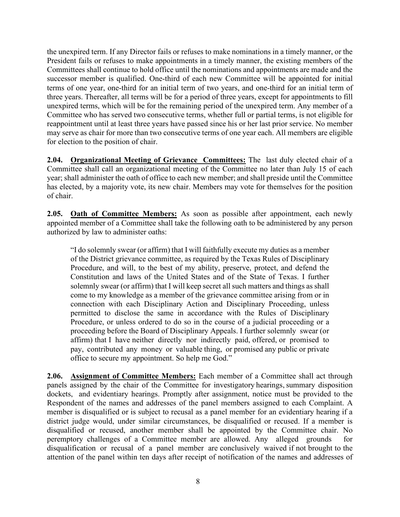the unexpired term. If any Director fails or refuses to make nominations in a timely manner, or the President fails or refuses to make appointments in a timely manner, the existing members of the Committees shall continue to hold office until the nominations and appointments are made and the successor member is qualified. One-third of each new Committee will be appointed for initial terms of one year, one-third for an initial term of two years, and one-third for an initial term of three years. Thereafter, all terms will be for a period of three years, except for appointments to fill unexpired terms, which will be for the remaining period of the unexpired term. Any member of a Committee who has served two consecutive terms, whether full or partial terms, is not eligible for reappointment until at least three years have passed since his or her last prior service. No member may serve as chair for more than two consecutive terms of one year each. All members are eligible for election to the position of chair.

**2.04. Organizational Meeting of Grievance Committees:** The last duly elected chair of a Committee shall call an organizational meeting of the Committee no later than July 15 of each year; shall administer the oath of office to each new member; and shall preside until the Committee has elected, by a majority vote, its new chair. Members may vote for themselves for the position of chair.

**2.05. Oath of Committee Members:** As soon as possible after appointment, each newly appointed member of a Committee shall take the following oath to be administered by any person authorized by law to administer oaths:

"I do solemnly swear (or affirm) that I will faithfully execute my duties as a member of the District grievance committee, as required by the Texas Rules of Disciplinary Procedure, and will, to the best of my ability, preserve, protect, and defend the Constitution and laws of the United States and of the State of Texas. I further solemnly swear (or affirm) that I will keep secret all such matters and things as shall come to my knowledge as a member of the grievance committee arising from or in connection with each Disciplinary Action and Disciplinary Proceeding, unless permitted to disclose the same in accordance with the Rules of Disciplinary Procedure, or unless ordered to do so in the course of a judicial proceeding or a proceeding before the Board of Disciplinary Appeals. I further solemnly swear (or affirm) that I have neither directly nor indirectly paid, offered, or promised to pay, contributed any money or valuable thing, or promised any public or private office to secure my appointment. So help me God."

**2.06. Assignment of Committee Members:** Each member of a Committee shall act through panels assigned by the chair of the Committee for investigatory hearings, summary disposition dockets, and evidentiary hearings. Promptly after assignment, notice must be provided to the Respondent of the names and addresses of the panel members assigned to each Complaint. A member is disqualified or is subject to recusal as a panel member for an evidentiary hearing if a district judge would, under similar circumstances, be disqualified or recused. If a member is disqualified or recused, another member shall be appointed by the Committee chair. No peremptory challenges of a Committee member are allowed. Any alleged grounds for disqualification or recusal of a panel member are conclusively waived if not brought to the attention of the panel within ten days after receipt of notification of the names and addresses of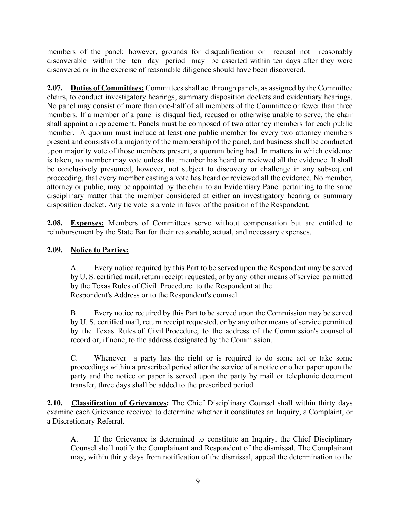members of the panel; however, grounds for disqualification or recusal not reasonably discoverable within the ten day period may be asserted within ten days after they were discovered or in the exercise of reasonable diligence should have been discovered.

**2.07. Duties of Committees:** Committees shall act through panels, as assigned by the Committee chairs, to conduct investigatory hearings, summary disposition dockets and evidentiary hearings. No panel may consist of more than one-half of all members of the Committee or fewer than three members. If a member of a panel is disqualified, recused or otherwise unable to serve, the chair shall appoint a replacement. Panels must be composed of two attorney members for each public member. A quorum must include at least one public member for every two attorney members present and consists of a majority of the membership of the panel, and business shall be conducted upon majority vote of those members present, a quorum being had. In matters in which evidence is taken, no member may vote unless that member has heard or reviewed all the evidence. It shall be conclusively presumed, however, not subject to discovery or challenge in any subsequent proceeding, that every member casting a vote has heard or reviewed all the evidence. No member, attorney or public, may be appointed by the chair to an Evidentiary Panel pertaining to the same disciplinary matter that the member considered at either an investigatory hearing or summary disposition docket. Any tie vote is a vote in favor of the position of the Respondent.

**2.08. Expenses:** Members of Committees serve without compensation but are entitled to reimbursement by the State Bar for their reasonable, actual, and necessary expenses.

## **2.09. Notice to Parties:**

A. Every notice required by this Part to be served upon the Respondent may be served by U. S. certified mail, return receipt requested, or by any other means of service permitted by the Texas Rules of Civil Procedure to the Respondent at the Respondent's Address or to the Respondent's counsel.

B. Every notice required by this Part to be served upon the Commission may be served by U. S. certified mail, return receipt requested, or by any other means of service permitted by the Texas Rules of Civil Procedure, to the address of the Commission's counsel of record or, if none, to the address designated by the Commission.

C. Whenever a party has the right or is required to do some act or take some proceedings within a prescribed period after the service of a notice or other paper upon the party and the notice or paper is served upon the party by mail or telephonic document transfer, three days shall be added to the prescribed period.

**2.10. Classification of Grievances:** The Chief Disciplinary Counsel shall within thirty days examine each Grievance received to determine whether it constitutes an Inquiry, a Complaint, or a Discretionary Referral.

A. If the Grievance is determined to constitute an Inquiry, the Chief Disciplinary Counsel shall notify the Complainant and Respondent of the dismissal. The Complainant may, within thirty days from notification of the dismissal, appeal the determination to the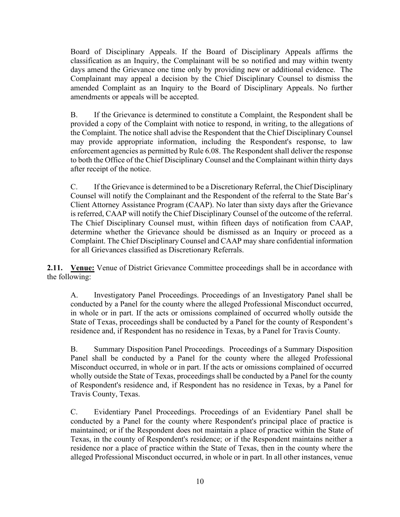Board of Disciplinary Appeals. If the Board of Disciplinary Appeals affirms the classification as an Inquiry, the Complainant will be so notified and may within twenty days amend the Grievance one time only by providing new or additional evidence. The Complainant may appeal a decision by the Chief Disciplinary Counsel to dismiss the amended Complaint as an Inquiry to the Board of Disciplinary Appeals. No further amendments or appeals will be accepted.

B. If the Grievance is determined to constitute a Complaint, the Respondent shall be provided a copy of the Complaint with notice to respond, in writing, to the allegations of the Complaint. The notice shall advise the Respondent that the Chief Disciplinary Counsel may provide appropriate information, including the Respondent's response, to law enforcement agencies as permitted by Rule 6.08. The Respondent shall deliver the response to both the Office of the Chief Disciplinary Counsel and the Complainant within thirty days after receipt of the notice.

C. If the Grievance is determined to be a Discretionary Referral, the Chief Disciplinary Counsel will notify the Complainant and the Respondent of the referral to the State Bar's Client Attorney Assistance Program (CAAP). No later than sixty days after the Grievance is referred, CAAP will notify the Chief Disciplinary Counsel of the outcome of the referral. The Chief Disciplinary Counsel must, within fifteen days of notification from CAAP, determine whether the Grievance should be dismissed as an Inquiry or proceed as a Complaint. The Chief Disciplinary Counsel and CAAP may share confidential information for all Grievances classified as Discretionary Referrals.

**2.11. Venue:** Venue of District Grievance Committee proceedings shall be in accordance with the following:

A. Investigatory Panel Proceedings. Proceedings of an Investigatory Panel shall be conducted by a Panel for the county where the alleged Professional Misconduct occurred, in whole or in part. If the acts or omissions complained of occurred wholly outside the State of Texas, proceedings shall be conducted by a Panel for the county of Respondent's residence and, if Respondent has no residence in Texas, by a Panel for Travis County.

B. Summary Disposition Panel Proceedings. Proceedings of a Summary Disposition Panel shall be conducted by a Panel for the county where the alleged Professional Misconduct occurred, in whole or in part. If the acts or omissions complained of occurred wholly outside the State of Texas, proceedings shall be conducted by a Panel for the county of Respondent's residence and, if Respondent has no residence in Texas, by a Panel for Travis County, Texas.

C. Evidentiary Panel Proceedings. Proceedings of an Evidentiary Panel shall be conducted by a Panel for the county where Respondent's principal place of practice is maintained; or if the Respondent does not maintain a place of practice within the State of Texas, in the county of Respondent's residence; or if the Respondent maintains neither a residence nor a place of practice within the State of Texas, then in the county where the alleged Professional Misconduct occurred, in whole or in part. In all other instances, venue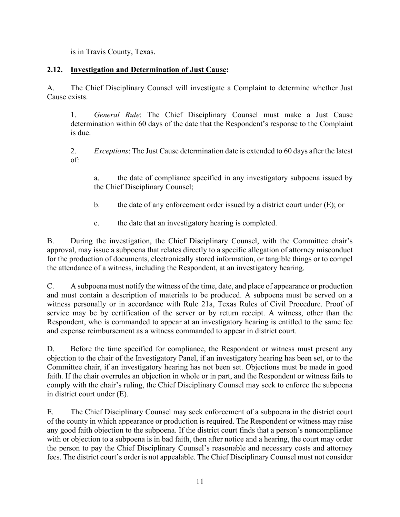is in Travis County, Texas.

## **2.12. Investigation and Determination of Just Cause:**

A. The Chief Disciplinary Counsel will investigate a Complaint to determine whether Just Cause exists.

1. *General Rule*: The Chief Disciplinary Counsel must make a Just Cause determination within 60 days of the date that the Respondent's response to the Complaint is due.

2. *Exceptions*: The Just Cause determination date is extended to 60 days after the latest of:

a. the date of compliance specified in any investigatory subpoena issued by the Chief Disciplinary Counsel;

- b. the date of any enforcement order issued by a district court under (E); or
- c. the date that an investigatory hearing is completed.

B. During the investigation, the Chief Disciplinary Counsel, with the Committee chair's approval, may issue a subpoena that relates directly to a specific allegation of attorney misconduct for the production of documents, electronically stored information, or tangible things or to compel the attendance of a witness, including the Respondent, at an investigatory hearing.

C. A subpoena must notify the witness of the time, date, and place of appearance or production and must contain a description of materials to be produced. A subpoena must be served on a witness personally or in accordance with Rule 21a, Texas Rules of Civil Procedure. Proof of service may be by certification of the server or by return receipt. A witness, other than the Respondent, who is commanded to appear at an investigatory hearing is entitled to the same fee and expense reimbursement as a witness commanded to appear in district court.

D. Before the time specified for compliance, the Respondent or witness must present any objection to the chair of the Investigatory Panel, if an investigatory hearing has been set, or to the Committee chair, if an investigatory hearing has not been set. Objections must be made in good faith. If the chair overrules an objection in whole or in part, and the Respondent or witness fails to comply with the chair's ruling, the Chief Disciplinary Counsel may seek to enforce the subpoena in district court under (E).

E. The Chief Disciplinary Counsel may seek enforcement of a subpoena in the district court of the county in which appearance or production is required. The Respondent or witness may raise any good faith objection to the subpoena. If the district court finds that a person's noncompliance with or objection to a subpoena is in bad faith, then after notice and a hearing, the court may order the person to pay the Chief Disciplinary Counsel's reasonable and necessary costs and attorney fees. The district court's order is not appealable. The Chief Disciplinary Counsel must not consider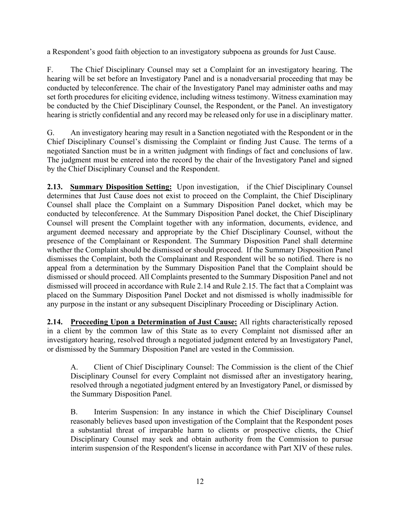a Respondent's good faith objection to an investigatory subpoena as grounds for Just Cause.

F. The Chief Disciplinary Counsel may set a Complaint for an investigatory hearing. The hearing will be set before an Investigatory Panel and is a nonadversarial proceeding that may be conducted by teleconference. The chair of the Investigatory Panel may administer oaths and may set forth procedures for eliciting evidence, including witness testimony. Witness examination may be conducted by the Chief Disciplinary Counsel, the Respondent, or the Panel. An investigatory hearing is strictly confidential and any record may be released only for use in a disciplinary matter.

G. An investigatory hearing may result in a Sanction negotiated with the Respondent or in the Chief Disciplinary Counsel's dismissing the Complaint or finding Just Cause. The terms of a negotiated Sanction must be in a written judgment with findings of fact and conclusions of law. The judgment must be entered into the record by the chair of the Investigatory Panel and signed by the Chief Disciplinary Counsel and the Respondent.

**2.13. Summary Disposition Setting:** Upon investigation, if the Chief Disciplinary Counsel determines that Just Cause does not exist to proceed on the Complaint, the Chief Disciplinary Counsel shall place the Complaint on a Summary Disposition Panel docket, which may be conducted by teleconference. At the Summary Disposition Panel docket, the Chief Disciplinary Counsel will present the Complaint together with any information, documents, evidence, and argument deemed necessary and appropriate by the Chief Disciplinary Counsel, without the presence of the Complainant or Respondent. The Summary Disposition Panel shall determine whether the Complaint should be dismissed or should proceed. If the Summary Disposition Panel dismisses the Complaint, both the Complainant and Respondent will be so notified. There is no appeal from a determination by the Summary Disposition Panel that the Complaint should be dismissed or should proceed. All Complaints presented to the Summary Disposition Panel and not dismissed will proceed in accordance with Rule 2.14 and Rule 2.15. The fact that a Complaint was placed on the Summary Disposition Panel Docket and not dismissed is wholly inadmissible for any purpose in the instant or any subsequent Disciplinary Proceeding or Disciplinary Action.

**2.14. Proceeding Upon a Determination of Just Cause:** All rights characteristically reposed in a client by the common law of this State as to every Complaint not dismissed after an investigatory hearing, resolved through a negotiated judgment entered by an Investigatory Panel, or dismissed by the Summary Disposition Panel are vested in the Commission.

A. Client of Chief Disciplinary Counsel: The Commission is the client of the Chief Disciplinary Counsel for every Complaint not dismissed after an investigatory hearing, resolved through a negotiated judgment entered by an Investigatory Panel, or dismissed by the Summary Disposition Panel.

B. Interim Suspension: In any instance in which the Chief Disciplinary Counsel reasonably believes based upon investigation of the Complaint that the Respondent poses a substantial threat of irreparable harm to clients or prospective clients, the Chief Disciplinary Counsel may seek and obtain authority from the Commission to pursue interim suspension of the Respondent's license in accordance with Part XIV of these rules.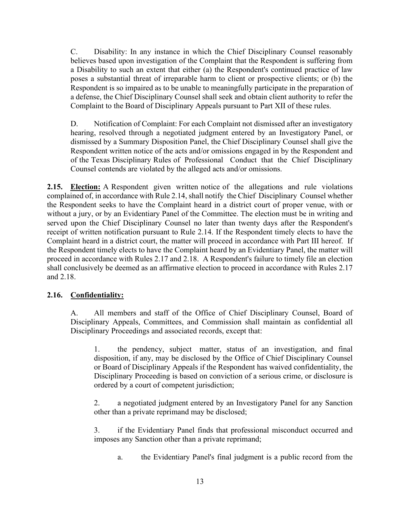C. Disability: In any instance in which the Chief Disciplinary Counsel reasonably believes based upon investigation of the Complaint that the Respondent is suffering from a Disability to such an extent that either (a) the Respondent's continued practice of law poses a substantial threat of irreparable harm to client or prospective clients; or (b) the Respondent is so impaired as to be unable to meaningfully participate in the preparation of a defense, the Chief Disciplinary Counsel shall seek and obtain client authority to refer the Complaint to the Board of Disciplinary Appeals pursuant to Part XII of these rules.

D. Notification of Complaint: For each Complaint not dismissed after an investigatory hearing, resolved through a negotiated judgment entered by an Investigatory Panel, or dismissed by a Summary Disposition Panel, the Chief Disciplinary Counsel shall give the Respondent written notice of the acts and/or omissions engaged in by the Respondent and of the Texas Disciplinary Rules of Professional Conduct that the Chief Disciplinary Counsel contends are violated by the alleged acts and/or omissions.

**2.15. Election:** A Respondent given written notice of the allegations and rule violations complained of, in accordance with Rule 2.14, shall notify the Chief Disciplinary Counsel whether the Respondent seeks to have the Complaint heard in a district court of proper venue, with or without a jury, or by an Evidentiary Panel of the Committee. The election must be in writing and served upon the Chief Disciplinary Counsel no later than twenty days after the Respondent's receipt of written notification pursuant to Rule 2.14. If the Respondent timely elects to have the Complaint heard in a district court, the matter will proceed in accordance with Part III hereof. If the Respondent timely elects to have the Complaint heard by an Evidentiary Panel, the matter will proceed in accordance with Rules 2.17 and 2.18. A Respondent's failure to timely file an election shall conclusively be deemed as an affirmative election to proceed in accordance with Rules 2.17 and 2.18.

## **2.16. Confidentiality:**

A. All members and staff of the Office of Chief Disciplinary Counsel, Board of Disciplinary Appeals, Committees, and Commission shall maintain as confidential all Disciplinary Proceedings and associated records, except that:

1. the pendency, subject matter, status of an investigation, and final disposition, if any, may be disclosed by the Office of Chief Disciplinary Counsel or Board of Disciplinary Appeals if the Respondent has waived confidentiality, the Disciplinary Proceeding is based on conviction of a serious crime, or disclosure is ordered by a court of competent jurisdiction;

2. a negotiated judgment entered by an Investigatory Panel for any Sanction other than a private reprimand may be disclosed;

3. if the Evidentiary Panel finds that professional misconduct occurred and imposes any Sanction other than a private reprimand;

a. the Evidentiary Panel's final judgment is a public record from the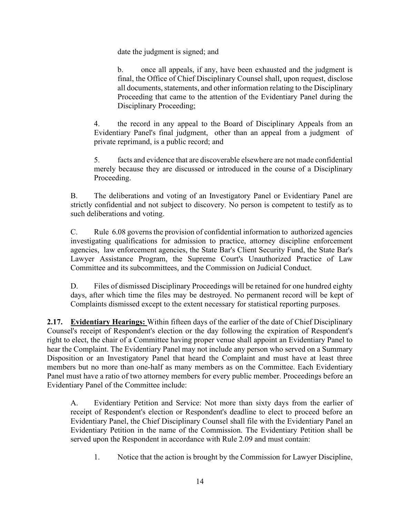date the judgment is signed; and

b. once all appeals, if any, have been exhausted and the judgment is final, the Office of Chief Disciplinary Counsel shall, upon request, disclose all documents, statements, and other information relating to the Disciplinary Proceeding that came to the attention of the Evidentiary Panel during the Disciplinary Proceeding;

4. the record in any appeal to the Board of Disciplinary Appeals from an Evidentiary Panel's final judgment, other than an appeal from a judgment of private reprimand, is a public record; and

5. facts and evidence that are discoverable elsewhere are not made confidential merely because they are discussed or introduced in the course of a Disciplinary Proceeding.

B. The deliberations and voting of an Investigatory Panel or Evidentiary Panel are strictly confidential and not subject to discovery. No person is competent to testify as to such deliberations and voting.

C. Rule 6.08 governs the provision of confidential information to authorized agencies investigating qualifications for admission to practice, attorney discipline enforcement agencies, law enforcement agencies, the State Bar's Client Security Fund, the State Bar's Lawyer Assistance Program, the Supreme Court's Unauthorized Practice of Law Committee and its subcommittees, and the Commission on Judicial Conduct.

D. Files of dismissed Disciplinary Proceedings will be retained for one hundred eighty days, after which time the files may be destroyed. No permanent record will be kept of Complaints dismissed except to the extent necessary for statistical reporting purposes.

**2.17. Evidentiary Hearings:** Within fifteen days of the earlier of the date of Chief Disciplinary Counsel's receipt of Respondent's election or the day following the expiration of Respondent's right to elect, the chair of a Committee having proper venue shall appoint an Evidentiary Panel to hear the Complaint. The Evidentiary Panel may not include any person who served on a Summary Disposition or an Investigatory Panel that heard the Complaint and must have at least three members but no more than one-half as many members as on the Committee. Each Evidentiary Panel must have a ratio of two attorney members for every public member. Proceedings before an Evidentiary Panel of the Committee include:

A. Evidentiary Petition and Service: Not more than sixty days from the earlier of receipt of Respondent's election or Respondent's deadline to elect to proceed before an Evidentiary Panel, the Chief Disciplinary Counsel shall file with the Evidentiary Panel an Evidentiary Petition in the name of the Commission. The Evidentiary Petition shall be served upon the Respondent in accordance with Rule 2.09 and must contain:

1. Notice that the action is brought by the Commission for Lawyer Discipline,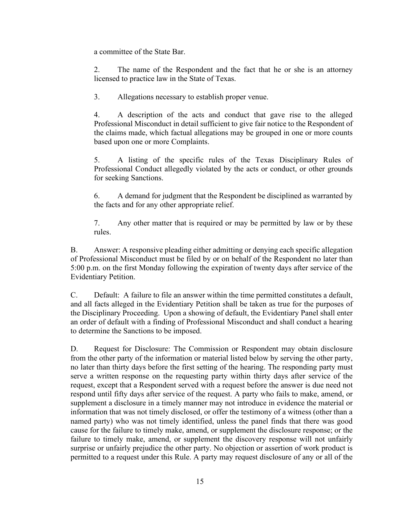a committee of the State Bar.

2. The name of the Respondent and the fact that he or she is an attorney licensed to practice law in the State of Texas.

3. Allegations necessary to establish proper venue.

4. A description of the acts and conduct that gave rise to the alleged Professional Misconduct in detail sufficient to give fair notice to the Respondent of the claims made, which factual allegations may be grouped in one or more counts based upon one or more Complaints.

5. A listing of the specific rules of the Texas Disciplinary Rules of Professional Conduct allegedly violated by the acts or conduct, or other grounds for seeking Sanctions.

6. A demand for judgment that the Respondent be disciplined as warranted by the facts and for any other appropriate relief.

7. Any other matter that is required or may be permitted by law or by these rules.

B. Answer: A responsive pleading either admitting or denying each specific allegation of Professional Misconduct must be filed by or on behalf of the Respondent no later than 5:00 p.m. on the first Monday following the expiration of twenty days after service of the Evidentiary Petition.

C. Default: A failure to file an answer within the time permitted constitutes a default, and all facts alleged in the Evidentiary Petition shall be taken as true for the purposes of the Disciplinary Proceeding. Upon a showing of default, the Evidentiary Panel shall enter an order of default with a finding of Professional Misconduct and shall conduct a hearing to determine the Sanctions to be imposed.

D. Request for Disclosure: The Commission or Respondent may obtain disclosure from the other party of the information or material listed below by serving the other party, no later than thirty days before the first setting of the hearing. The responding party must serve a written response on the requesting party within thirty days after service of the request, except that a Respondent served with a request before the answer is due need not respond until fifty days after service of the request. A party who fails to make, amend, or supplement a disclosure in a timely manner may not introduce in evidence the material or information that was not timely disclosed, or offer the testimony of a witness (other than a named party) who was not timely identified, unless the panel finds that there was good cause for the failure to timely make, amend, or supplement the disclosure response; or the failure to timely make, amend, or supplement the discovery response will not unfairly surprise or unfairly prejudice the other party. No objection or assertion of work product is permitted to a request under this Rule. A party may request disclosure of any or all of the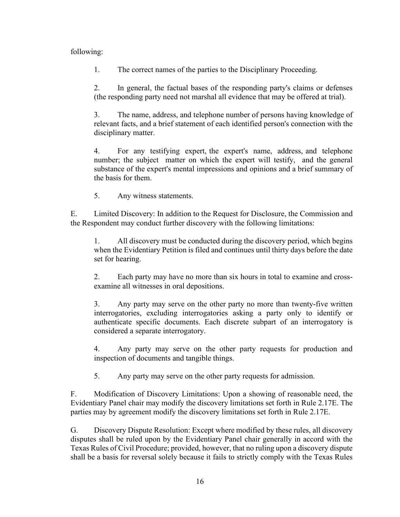### following:

1. The correct names of the parties to the Disciplinary Proceeding.

2. In general, the factual bases of the responding party's claims or defenses (the responding party need not marshal all evidence that may be offered at trial).

3. The name, address, and telephone number of persons having knowledge of relevant facts, and a brief statement of each identified person's connection with the disciplinary matter.

4. For any testifying expert, the expert's name, address, and telephone number; the subject matter on which the expert will testify, and the general substance of the expert's mental impressions and opinions and a brief summary of the basis for them.

5. Any witness statements.

E. Limited Discovery: In addition to the Request for Disclosure, the Commission and the Respondent may conduct further discovery with the following limitations:

1. All discovery must be conducted during the discovery period, which begins when the Evidentiary Petition is filed and continues until thirty days before the date set for hearing.

2. Each party may have no more than six hours in total to examine and crossexamine all witnesses in oral depositions.

3. Any party may serve on the other party no more than twenty-five written interrogatories, excluding interrogatories asking a party only to identify or authenticate specific documents. Each discrete subpart of an interrogatory is considered a separate interrogatory.

4. Any party may serve on the other party requests for production and inspection of documents and tangible things.

5. Any party may serve on the other party requests for admission.

F. Modification of Discovery Limitations: Upon a showing of reasonable need, the Evidentiary Panel chair may modify the discovery limitations set forth in Rule 2.17E. The parties may by agreement modify the discovery limitations set forth in Rule 2.17E.

G. Discovery Dispute Resolution: Except where modified by these rules, all discovery disputes shall be ruled upon by the Evidentiary Panel chair generally in accord with the Texas Rules of Civil Procedure; provided, however, that no ruling upon a discovery dispute shall be a basis for reversal solely because it fails to strictly comply with the Texas Rules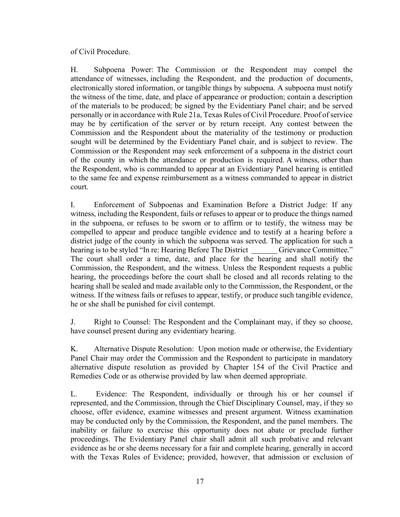of Civil Procedure.

H. Subpoena Power: The Commission or the Respondent may compel the attendance of witnesses, including the Respondent, and the production of documents, electronically stored information, or tangible things by subpoena. A subpoena must notify the witness of the time, date, and place of appearance or production; contain a description of the materials to be produced; be signed by the Evidentiary Panel chair; and be served personally or in accordance with Rule 21a, Texas Rules of Civil Procedure. Proof of service may be by certification of the server or by return receipt. Any contest between the Commission and the Respondent about the materiality of the testimony or production sought will be determined by the Evidentiary Panel chair, and is subject to review. The Commission or the Respondent may seek enforcement of a subpoena in the district court of the county in which the attendance or production is required. A witness, other than the Respondent, who is commanded to appear at an Evidentiary Panel hearing is entitled to the same fee and expense reimbursement as a witness commanded to appear in district court.

I. Enforcement of Subpoenas and Examination Before a District Judge: If any witness, including the Respondent, fails or refuses to appear or to produce the things named in the subpoena, or refuses to be sworn or to affirm or to testify, the witness may be compelled to appear and produce tangible evidence and to testify at a hearing before a district judge of the county in which the subpoena was served. The application for such a hearing is to be styled "In re: Hearing Before The District Grievance Committee." The court shall order a time, date, and place for the hearing and shall notify the Commission, the Respondent, and the witness. Unless the Respondent requests a public hearing, the proceedings before the court shall be closed and all records relating to the hearing shall be sealed and made available only to the Commission, the Respondent, or the witness. If the witness fails or refuses to appear, testify, or produce such tangible evidence, he or she shall be punished for civil contempt.

J. Right to Counsel: The Respondent and the Complainant may, if they so choose, have counsel present during any evidentiary hearing.

K. Alternative Dispute Resolution: Upon motion made or otherwise, the Evidentiary Panel Chair may order the Commission and the Respondent to participate in mandatory alternative dispute resolution as provided by Chapter 154 of the Civil Practice and Remedies Code or as otherwise provided by law when deemed appropriate.

L. Evidence: The Respondent, individually or through his or her counsel if represented, and the Commission, through the Chief Disciplinary Counsel, may, if they so choose, offer evidence, examine witnesses and present argument. Witness examination may be conducted only by the Commission, the Respondent, and the panel members. The inability or failure to exercise this opportunity does not abate or preclude further proceedings. The Evidentiary Panel chair shall admit all such probative and relevant evidence as he or she deems necessary for a fair and complete hearing, generally in accord with the Texas Rules of Evidence; provided, however, that admission or exclusion of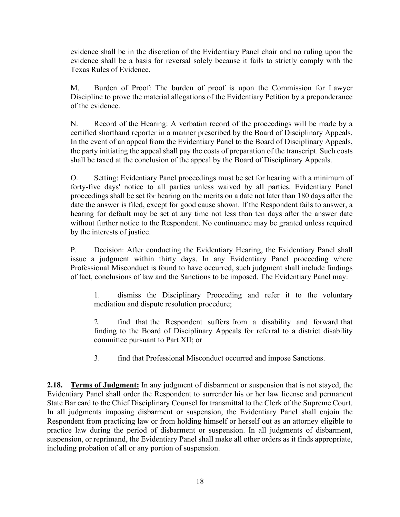evidence shall be in the discretion of the Evidentiary Panel chair and no ruling upon the evidence shall be a basis for reversal solely because it fails to strictly comply with the Texas Rules of Evidence.

M. Burden of Proof: The burden of proof is upon the Commission for Lawyer Discipline to prove the material allegations of the Evidentiary Petition by a preponderance of the evidence.

N. Record of the Hearing: A verbatim record of the proceedings will be made by a certified shorthand reporter in a manner prescribed by the Board of Disciplinary Appeals. In the event of an appeal from the Evidentiary Panel to the Board of Disciplinary Appeals, the party initiating the appeal shall pay the costs of preparation of the transcript. Such costs shall be taxed at the conclusion of the appeal by the Board of Disciplinary Appeals.

O. Setting: Evidentiary Panel proceedings must be set for hearing with a minimum of forty-five days' notice to all parties unless waived by all parties. Evidentiary Panel proceedings shall be set for hearing on the merits on a date not later than 180 days after the date the answer is filed, except for good cause shown. If the Respondent fails to answer, a hearing for default may be set at any time not less than ten days after the answer date without further notice to the Respondent. No continuance may be granted unless required by the interests of justice.

P. Decision: After conducting the Evidentiary Hearing, the Evidentiary Panel shall issue a judgment within thirty days. In any Evidentiary Panel proceeding where Professional Misconduct is found to have occurred, such judgment shall include findings of fact, conclusions of law and the Sanctions to be imposed. The Evidentiary Panel may:

1. dismiss the Disciplinary Proceeding and refer it to the voluntary mediation and dispute resolution procedure;

2. find that the Respondent suffers from a disability and forward that finding to the Board of Disciplinary Appeals for referral to a district disability committee pursuant to Part XII; or

3. find that Professional Misconduct occurred and impose Sanctions.

**2.18. Terms of Judgment:** In any judgment of disbarment or suspension that is not stayed, the Evidentiary Panel shall order the Respondent to surrender his or her law license and permanent State Bar card to the Chief Disciplinary Counsel for transmittal to the Clerk of the Supreme Court. In all judgments imposing disbarment or suspension, the Evidentiary Panel shall enjoin the Respondent from practicing law or from holding himself or herself out as an attorney eligible to practice law during the period of disbarment or suspension. In all judgments of disbarment, suspension, or reprimand, the Evidentiary Panel shall make all other orders as it finds appropriate, including probation of all or any portion of suspension.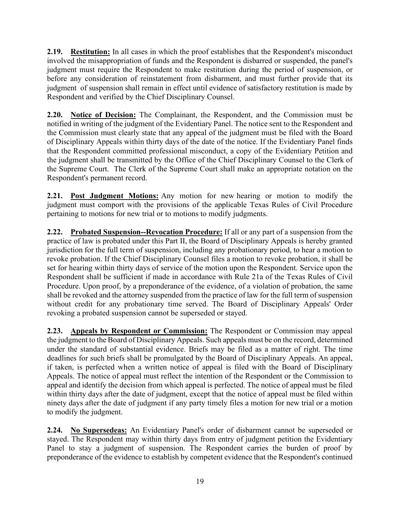**2.19. Restitution:** In all cases in which the proof establishes that the Respondent's misconduct involved the misappropriation of funds and the Respondent is disbarred or suspended, the panel's judgment must require the Respondent to make restitution during the period of suspension, or before any consideration of reinstatement from disbarment, and must further provide that its judgment of suspension shall remain in effect until evidence of satisfactory restitution is made by Respondent and verified by the Chief Disciplinary Counsel.

**2.20. Notice of Decision:** The Complainant, the Respondent, and the Commission must be notified in writing of the judgment of the Evidentiary Panel. The notice sent to the Respondent and the Commission must clearly state that any appeal of the judgment must be filed with the Board of Disciplinary Appeals within thirty days of the date of the notice. If the Evidentiary Panel finds that the Respondent committed professional misconduct, a copy of the Evidentiary Petition and the judgment shall be transmitted by the Office of the Chief Disciplinary Counsel to the Clerk of the Supreme Court. The Clerk of the Supreme Court shall make an appropriate notation on the Respondent's permanent record.

**2.21. Post Judgment Motions:** Any motion for new hearing or motion to modify the judgment must comport with the provisions of the applicable Texas Rules of Civil Procedure pertaining to motions for new trial or to motions to modify judgments.

**2.22. Probated Suspension--Revocation Procedure:** If all or any part of a suspension from the practice of law is probated under this Part II, the Board of Disciplinary Appeals is hereby granted jurisdiction for the full term of suspension, including any probationary period, to hear a motion to revoke probation. If the Chief Disciplinary Counsel files a motion to revoke probation, it shall be set for hearing within thirty days of service of the motion upon the Respondent. Service upon the Respondent shall be sufficient if made in accordance with Rule 21a of the Texas Rules of Civil Procedure. Upon proof, by a preponderance of the evidence, of a violation of probation, the same shall be revoked and the attorney suspended from the practice of law for the full term of suspension without credit for any probationary time served. The Board of Disciplinary Appeals' Order revoking a probated suspension cannot be superseded or stayed.

**2.23. Appeals by Respondent or Commission:** The Respondent or Commission may appeal the judgment to the Board of Disciplinary Appeals. Such appeals must be on the record, determined under the standard of substantial evidence. Briefs may be filed as a matter of right. The time deadlines for such briefs shall be promulgated by the Board of Disciplinary Appeals. An appeal, if taken, is perfected when a written notice of appeal is filed with the Board of Disciplinary Appeals. The notice of appeal must reflect the intention of the Respondent or the Commission to appeal and identify the decision from which appeal is perfected. The notice of appeal must be filed within thirty days after the date of judgment, except that the notice of appeal must be filed within ninety days after the date of judgment if any party timely files a motion for new trial or a motion to modify the judgment.

**2.24. No Supersedeas:** An Evidentiary Panel's order of disbarment cannot be superseded or stayed. The Respondent may within thirty days from entry of judgment petition the Evidentiary Panel to stay a judgment of suspension. The Respondent carries the burden of proof by preponderance of the evidence to establish by competent evidence that the Respondent's continued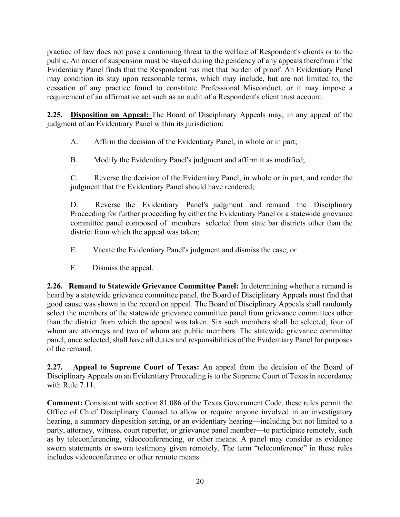practice of law does not pose a continuing threat to the welfare of Respondent's clients or to the public. An order of suspension must be stayed during the pendency of any appeals therefrom if the Evidentiary Panel finds that the Respondent has met that burden of proof. An Evidentiary Panel may condition its stay upon reasonable terms, which may include, but are not limited to, the cessation of any practice found to constitute Professional Misconduct, or it may impose a requirement of an affirmative act such as an audit of a Respondent's client trust account.

**2.25. Disposition on Appeal:** The Board of Disciplinary Appeals may, in any appeal of the judgment of an Evidentiary Panel within its jurisdiction:

A. Affirm the decision of the Evidentiary Panel, in whole or in part;

B. Modify the Evidentiary Panel's judgment and affirm it as modified;

C. Reverse the decision of the Evidentiary Panel, in whole or in part, and render the judgment that the Evidentiary Panel should have rendered;

D. Reverse the Evidentiary Panel's judgment and remand the Disciplinary Proceeding for further proceeding by either the Evidentiary Panel or a statewide grievance committee panel composed of members selected from state bar districts other than the district from which the appeal was taken;

- E. Vacate the Evidentiary Panel's judgment and dismiss the case; or
- F. Dismiss the appeal.

**2.26. Remand to Statewide Grievance Committee Panel:** In determining whether a remand is heard by a statewide grievance committee panel, the Board of Disciplinary Appeals must find that good cause was shown in the record on appeal. The Board of Disciplinary Appeals shall randomly select the members of the statewide grievance committee panel from grievance committees other than the district from which the appeal was taken. Six such members shall be selected, four of whom are attorneys and two of whom are public members. The statewide grievance committee panel, once selected, shall have all duties and responsibilities of the Evidentiary Panel for purposes of the remand.

**2.27. Appeal to Supreme Court of Texas:** An appeal from the decision of the Board of Disciplinary Appeals on an Evidentiary Proceeding is to the Supreme Court of Texas in accordance with Rule 7.11.

**Comment:** Consistent with section 81.086 of the Texas Government Code, these rules permit the Office of Chief Disciplinary Counsel to allow or require anyone involved in an investigatory hearing, a summary disposition setting, or an evidentiary hearing—including but not limited to a party, attorney, witness, court reporter, or grievance panel member—to participate remotely, such as by teleconferencing, videoconferencing, or other means. A panel may consider as evidence sworn statements or sworn testimony given remotely. The term "teleconference" in these rules includes videoconference or other remote means.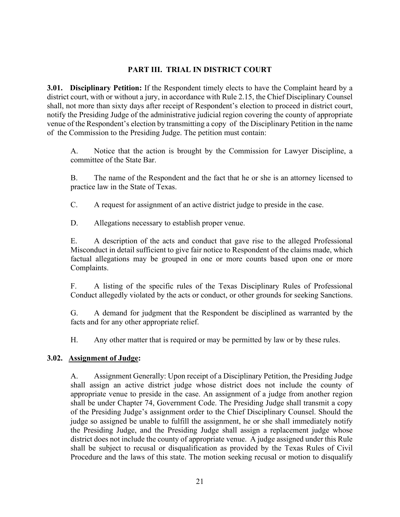#### **PART III. TRIAL IN DISTRICT COURT**

**3.01. Disciplinary Petition:** If the Respondent timely elects to have the Complaint heard by a district court, with or without a jury, in accordance with Rule 2.15, the Chief Disciplinary Counsel shall, not more than sixty days after receipt of Respondent's election to proceed in district court, notify the Presiding Judge of the administrative judicial region covering the county of appropriate venue of the Respondent's election by transmitting a copy of the Disciplinary Petition in the name of the Commission to the Presiding Judge. The petition must contain:

A. Notice that the action is brought by the Commission for Lawyer Discipline, a committee of the State Bar.

B. The name of the Respondent and the fact that he or she is an attorney licensed to practice law in the State of Texas.

C. A request for assignment of an active district judge to preside in the case.

D. Allegations necessary to establish proper venue.

E. A description of the acts and conduct that gave rise to the alleged Professional Misconduct in detail sufficient to give fair notice to Respondent of the claims made, which factual allegations may be grouped in one or more counts based upon one or more Complaints.

F. A listing of the specific rules of the Texas Disciplinary Rules of Professional Conduct allegedly violated by the acts or conduct, or other grounds for seeking Sanctions.

G. A demand for judgment that the Respondent be disciplined as warranted by the facts and for any other appropriate relief.

H. Any other matter that is required or may be permitted by law or by these rules.

#### **3.02. Assignment of Judge:**

A. Assignment Generally: Upon receipt of a Disciplinary Petition, the Presiding Judge shall assign an active district judge whose district does not include the county of appropriate venue to preside in the case. An assignment of a judge from another region shall be under Chapter 74, Government Code. The Presiding Judge shall transmit a copy of the Presiding Judge's assignment order to the Chief Disciplinary Counsel. Should the judge so assigned be unable to fulfill the assignment, he or she shall immediately notify the Presiding Judge, and the Presiding Judge shall assign a replacement judge whose district does not include the county of appropriate venue. A judge assigned under this Rule shall be subject to recusal or disqualification as provided by the Texas Rules of Civil Procedure and the laws of this state. The motion seeking recusal or motion to disqualify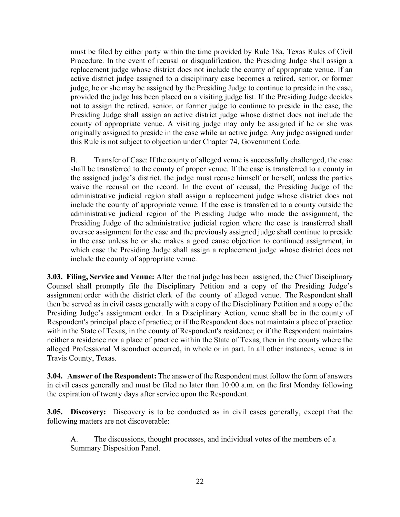must be filed by either party within the time provided by Rule 18a, Texas Rules of Civil Procedure. In the event of recusal or disqualification, the Presiding Judge shall assign a replacement judge whose district does not include the county of appropriate venue. If an active district judge assigned to a disciplinary case becomes a retired, senior, or former judge, he or she may be assigned by the Presiding Judge to continue to preside in the case, provided the judge has been placed on a visiting judge list. If the Presiding Judge decides not to assign the retired, senior, or former judge to continue to preside in the case, the Presiding Judge shall assign an active district judge whose district does not include the county of appropriate venue. A visiting judge may only be assigned if he or she was originally assigned to preside in the case while an active judge. Any judge assigned under this Rule is not subject to objection under Chapter 74, Government Code.

B. Transfer of Case: If the county of alleged venue is successfully challenged, the case shall be transferred to the county of proper venue. If the case is transferred to a county in the assigned judge's district, the judge must recuse himself or herself, unless the parties waive the recusal on the record. In the event of recusal, the Presiding Judge of the administrative judicial region shall assign a replacement judge whose district does not include the county of appropriate venue. If the case is transferred to a county outside the administrative judicial region of the Presiding Judge who made the assignment, the Presiding Judge of the administrative judicial region where the case is transferred shall oversee assignment for the case and the previously assigned judge shall continue to preside in the case unless he or she makes a good cause objection to continued assignment, in which case the Presiding Judge shall assign a replacement judge whose district does not include the county of appropriate venue.

**3.03. Filing, Service and Venue:** After the trial judge has been assigned, the Chief Disciplinary Counsel shall promptly file the Disciplinary Petition and a copy of the Presiding Judge's assignment order with the district clerk of the county of alleged venue. The Respondent shall then be served as in civil cases generally with a copy of the Disciplinary Petition and a copy of the Presiding Judge's assignment order. In a Disciplinary Action, venue shall be in the county of Respondent's principal place of practice; or if the Respondent does not maintain a place of practice within the State of Texas, in the county of Respondent's residence; or if the Respondent maintains neither a residence nor a place of practice within the State of Texas, then in the county where the alleged Professional Misconduct occurred, in whole or in part. In all other instances, venue is in Travis County, Texas.

**3.04. Answer of the Respondent:** The answer of the Respondent must follow the form of answers in civil cases generally and must be filed no later than 10:00 a.m. on the first Monday following the expiration of twenty days after service upon the Respondent.

**3.05. Discovery:** Discovery is to be conducted as in civil cases generally, except that the following matters are not discoverable:

A. The discussions, thought processes, and individual votes of the members of a Summary Disposition Panel.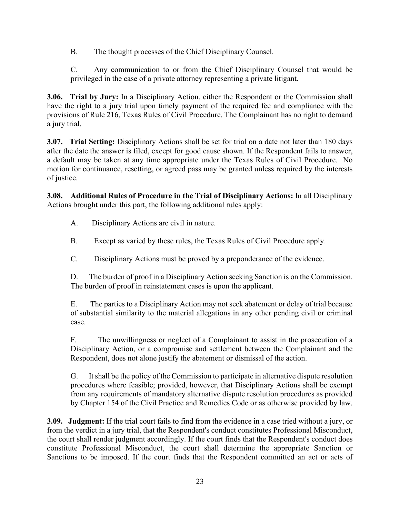B. The thought processes of the Chief Disciplinary Counsel.

C. Any communication to or from the Chief Disciplinary Counsel that would be privileged in the case of a private attorney representing a private litigant.

**3.06. Trial by Jury:** In a Disciplinary Action, either the Respondent or the Commission shall have the right to a jury trial upon timely payment of the required fee and compliance with the provisions of Rule 216, Texas Rules of Civil Procedure. The Complainant has no right to demand a jury trial.

**3.07. Trial Setting:** Disciplinary Actions shall be set for trial on a date not later than 180 days after the date the answer is filed, except for good cause shown. If the Respondent fails to answer, a default may be taken at any time appropriate under the Texas Rules of Civil Procedure. No motion for continuance, resetting, or agreed pass may be granted unless required by the interests of justice.

**3.08. Additional Rules of Procedure in the Trial of Disciplinary Actions:** In all Disciplinary Actions brought under this part, the following additional rules apply:

- A. Disciplinary Actions are civil in nature.
- B. Except as varied by these rules, the Texas Rules of Civil Procedure apply.
- C. Disciplinary Actions must be proved by a preponderance of the evidence.

D. The burden of proof in a Disciplinary Action seeking Sanction is on the Commission. The burden of proof in reinstatement cases is upon the applicant.

E. The parties to a Disciplinary Action may not seek abatement or delay of trial because of substantial similarity to the material allegations in any other pending civil or criminal case.

F. The unwillingness or neglect of a Complainant to assist in the prosecution of a Disciplinary Action, or a compromise and settlement between the Complainant and the Respondent, does not alone justify the abatement or dismissal of the action.

G. It shall be the policy of the Commission to participate in alternative dispute resolution procedures where feasible; provided, however, that Disciplinary Actions shall be exempt from any requirements of mandatory alternative dispute resolution procedures as provided by Chapter 154 of the Civil Practice and Remedies Code or as otherwise provided by law.

**3.09. Judgment:** If the trial court fails to find from the evidence in a case tried without a jury, or from the verdict in a jury trial, that the Respondent's conduct constitutes Professional Misconduct, the court shall render judgment accordingly. If the court finds that the Respondent's conduct does constitute Professional Misconduct, the court shall determine the appropriate Sanction or Sanctions to be imposed. If the court finds that the Respondent committed an act or acts of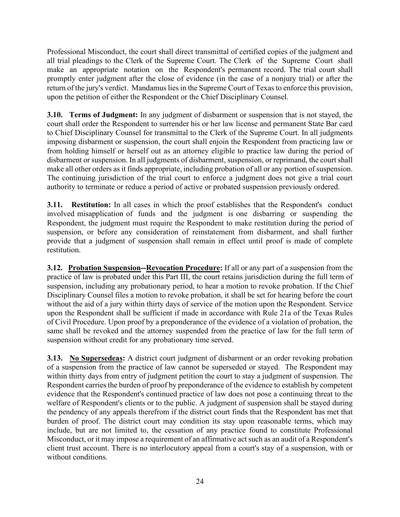Professional Misconduct, the court shall direct transmittal of certified copies of the judgment and all trial pleadings to the Clerk of the Supreme Court. The Clerk of the Supreme Court shall make an appropriate notation on the Respondent's permanent record. The trial court shall promptly enter judgment after the close of evidence (in the case of a nonjury trial) or after the return of the jury's verdict. Mandamus lies in the Supreme Court of Texas to enforce this provision, upon the petition of either the Respondent or the Chief Disciplinary Counsel.

**3.10. Terms of Judgment:** In any judgment of disbarment or suspension that is not stayed, the court shall order the Respondent to surrender his or her law license and permanent State Bar card to Chief Disciplinary Counsel for transmittal to the Clerk of the Supreme Court. In all judgments imposing disbarment or suspension, the court shall enjoin the Respondent from practicing law or from holding himself or herself out as an attorney eligible to practice law during the period of disbarment or suspension. In all judgments of disbarment, suspension, or reprimand, the court shall make all other orders as it finds appropriate, including probation of all or any portion of suspension. The continuing jurisdiction of the trial court to enforce a judgment does not give a trial court authority to terminate or reduce a period of active or probated suspension previously ordered.

**3.11. Restitution:** In all cases in which the proof establishes that the Respondent's conduct involved misapplication of funds and the judgment is one disbarring or suspending the Respondent, the judgment must require the Respondent to make restitution during the period of suspension, or before any consideration of reinstatement from disbarment, and shall further provide that a judgment of suspension shall remain in effect until proof is made of complete restitution.

**3.12. Probation Suspension--Revocation Procedure:** If all or any part of a suspension from the practice of law is probated under this Part III, the court retains jurisdiction during the full term of suspension, including any probationary period, to hear a motion to revoke probation. If the Chief Disciplinary Counsel files a motion to revoke probation, it shall be set for hearing before the court without the aid of a jury within thirty days of service of the motion upon the Respondent. Service upon the Respondent shall be sufficient if made in accordance with Rule 21a of the Texas Rules of Civil Procedure. Upon proof by a preponderance of the evidence of a violation of probation, the same shall be revoked and the attorney suspended from the practice of law for the full term of suspension without credit for any probationary time served.

**3.13. No Supersedeas:** A district court judgment of disbarment or an order revoking probation of a suspension from the practice of law cannot be superseded or stayed. The Respondent may within thirty days from entry of judgment petition the court to stay a judgment of suspension. The Respondent carries the burden of proof by preponderance of the evidence to establish by competent evidence that the Respondent's continued practice of law does not pose a continuing threat to the welfare of Respondent's clients or to the public. A judgment of suspension shall be stayed during the pendency of any appeals therefrom if the district court finds that the Respondent has met that burden of proof. The district court may condition its stay upon reasonable terms, which may include, but are not limited to, the cessation of any practice found to constitute Professional Misconduct, or it may impose a requirement of an affirmative act such as an audit of a Respondent's client trust account. There is no interlocutory appeal from a court's stay of a suspension, with or without conditions.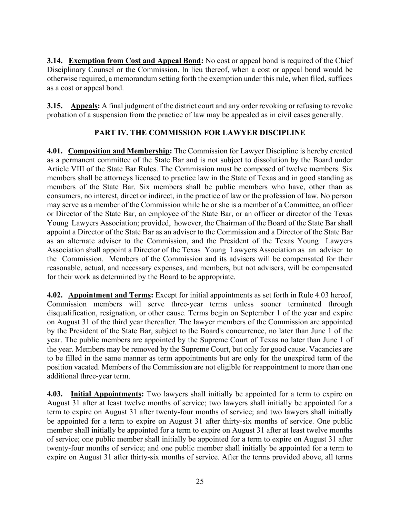**3.14. Exemption from Cost and Appeal Bond:** No cost or appeal bond is required of the Chief Disciplinary Counsel or the Commission. In lieu thereof, when a cost or appeal bond would be otherwise required, a memorandum setting forth the exemption under this rule, when filed, suffices as a cost or appeal bond.

**3.15. Appeals:** A final judgment of the district court and any order revoking or refusing to revoke probation of a suspension from the practice of law may be appealed as in civil cases generally.

# **PART IV. THE COMMISSION FOR LAWYER DISCIPLINE**

**4.01. Composition and Membership:** The Commission for Lawyer Discipline is hereby created as a permanent committee of the State Bar and is not subject to dissolution by the Board under Article VIII of the State Bar Rules. The Commission must be composed of twelve members. Six members shall be attorneys licensed to practice law in the State of Texas and in good standing as members of the State Bar. Six members shall be public members who have, other than as consumers, no interest, direct or indirect, in the practice of law or the profession of law. No person may serve as a member of the Commission while he or she is a member of a Committee, an officer or Director of the State Bar, an employee of the State Bar, or an officer or director of the Texas Young Lawyers Association; provided, however, the Chairman of the Board of the State Bar shall appoint a Director of the State Bar as an adviser to the Commission and a Director of the State Bar as an alternate adviser to the Commission, and the President of the Texas Young Lawyers Association shall appoint a Director of the Texas Young Lawyers Association as an adviser to the Commission. Members of the Commission and its advisers will be compensated for their reasonable, actual, and necessary expenses, and members, but not advisers, will be compensated for their work as determined by the Board to be appropriate.

**4.02. Appointment and Terms:** Except for initial appointments as set forth in Rule 4.03 hereof, Commission members will serve three-year terms unless sooner terminated through disqualification, resignation, or other cause. Terms begin on September 1 of the year and expire on August 31 of the third year thereafter. The lawyer members of the Commission are appointed by the President of the State Bar, subject to the Board's concurrence, no later than June 1 of the year. The public members are appointed by the Supreme Court of Texas no later than June 1 of the year. Members may be removed by the Supreme Court, but only for good cause. Vacancies are to be filled in the same manner as term appointments but are only for the unexpired term of the position vacated. Members of the Commission are not eligible for reappointment to more than one additional three-year term.

**4.03. Initial Appointments:** Two lawyers shall initially be appointed for a term to expire on August 31 after at least twelve months of service; two lawyers shall initially be appointed for a term to expire on August 31 after twenty-four months of service; and two lawyers shall initially be appointed for a term to expire on August 31 after thirty-six months of service. One public member shall initially be appointed for a term to expire on August 31 after at least twelve months of service; one public member shall initially be appointed for a term to expire on August 31 after twenty-four months of service; and one public member shall initially be appointed for a term to expire on August 31 after thirty-six months of service. After the terms provided above, all terms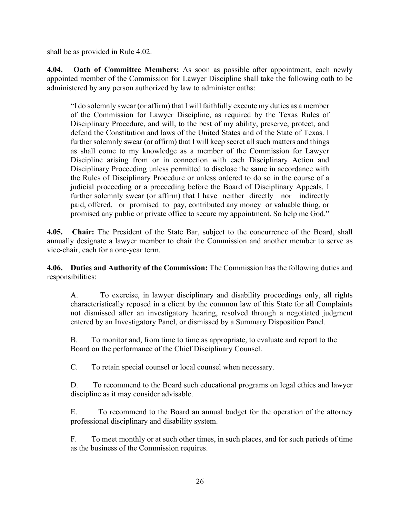shall be as provided in Rule 4.02.

**4.04. Oath of Committee Members:** As soon as possible after appointment, each newly appointed member of the Commission for Lawyer Discipline shall take the following oath to be administered by any person authorized by law to administer oaths:

"I do solemnly swear (or affirm) that I will faithfully execute my duties as a member of the Commission for Lawyer Discipline, as required by the Texas Rules of Disciplinary Procedure, and will, to the best of my ability, preserve, protect, and defend the Constitution and laws of the United States and of the State of Texas. I further solemnly swear (or affirm) that I will keep secret all such matters and things as shall come to my knowledge as a member of the Commission for Lawyer Discipline arising from or in connection with each Disciplinary Action and Disciplinary Proceeding unless permitted to disclose the same in accordance with the Rules of Disciplinary Procedure or unless ordered to do so in the course of a judicial proceeding or a proceeding before the Board of Disciplinary Appeals. I further solemnly swear (or affirm) that I have neither directly nor indirectly paid, offered, or promised to pay, contributed any money or valuable thing, or promised any public or private office to secure my appointment. So help me God."

**4.05. Chair:** The President of the State Bar, subject to the concurrence of the Board, shall annually designate a lawyer member to chair the Commission and another member to serve as vice-chair, each for a one-year term.

**4.06. Duties and Authority of the Commission:** The Commission has the following duties and responsibilities:

A. To exercise, in lawyer disciplinary and disability proceedings only, all rights characteristically reposed in a client by the common law of this State for all Complaints not dismissed after an investigatory hearing, resolved through a negotiated judgment entered by an Investigatory Panel, or dismissed by a Summary Disposition Panel.

B. To monitor and, from time to time as appropriate, to evaluate and report to the Board on the performance of the Chief Disciplinary Counsel.

C. To retain special counsel or local counsel when necessary.

D. To recommend to the Board such educational programs on legal ethics and lawyer discipline as it may consider advisable.

E. To recommend to the Board an annual budget for the operation of the attorney professional disciplinary and disability system.

F. To meet monthly or at such other times, in such places, and for such periods of time as the business of the Commission requires.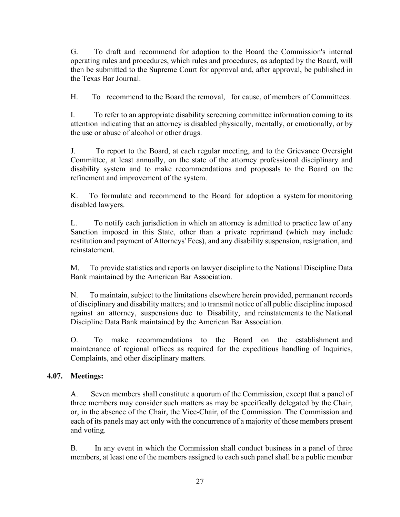G. To draft and recommend for adoption to the Board the Commission's internal operating rules and procedures, which rules and procedures, as adopted by the Board, will then be submitted to the Supreme Court for approval and, after approval, be published in the Texas Bar Journal.

H. To recommend to the Board the removal, for cause, of members of Committees.

I. To refer to an appropriate disability screening committee information coming to its attention indicating that an attorney is disabled physically, mentally, or emotionally, or by the use or abuse of alcohol or other drugs.

J. To report to the Board, at each regular meeting, and to the Grievance Oversight Committee, at least annually, on the state of the attorney professional disciplinary and disability system and to make recommendations and proposals to the Board on the refinement and improvement of the system.

K. To formulate and recommend to the Board for adoption a system for monitoring disabled lawyers.

L. To notify each jurisdiction in which an attorney is admitted to practice law of any Sanction imposed in this State, other than a private reprimand (which may include restitution and payment of Attorneys' Fees), and any disability suspension, resignation, and reinstatement.

M. To provide statistics and reports on lawyer discipline to the National Discipline Data Bank maintained by the American Bar Association.

N. To maintain, subject to the limitations elsewhere herein provided, permanent records of disciplinary and disability matters; and to transmit notice of all public discipline imposed against an attorney, suspensions due to Disability, and reinstatements to the National Discipline Data Bank maintained by the American Bar Association.

O. To make recommendations to the Board on the establishment and maintenance of regional offices as required for the expeditious handling of Inquiries, Complaints, and other disciplinary matters.

#### **4.07. Meetings:**

A. Seven members shall constitute a quorum of the Commission, except that a panel of three members may consider such matters as may be specifically delegated by the Chair, or, in the absence of the Chair, the Vice-Chair, of the Commission. The Commission and each of its panels may act only with the concurrence of a majority of those members present and voting.

B. In any event in which the Commission shall conduct business in a panel of three members, at least one of the members assigned to each such panel shall be a public member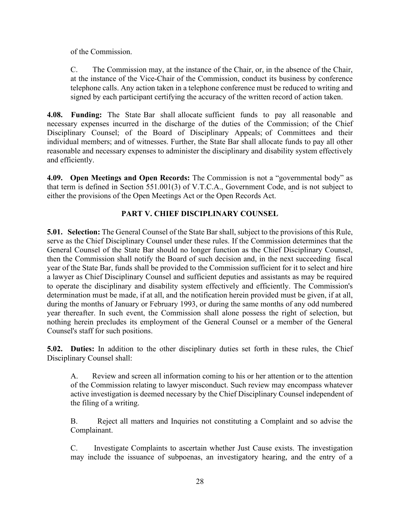of the Commission.

C. The Commission may, at the instance of the Chair, or, in the absence of the Chair, at the instance of the Vice-Chair of the Commission, conduct its business by conference telephone calls. Any action taken in a telephone conference must be reduced to writing and signed by each participant certifying the accuracy of the written record of action taken.

**4.08. Funding:** The State Bar shall allocate sufficient funds to pay all reasonable and necessary expenses incurred in the discharge of the duties of the Commission; of the Chief Disciplinary Counsel; of the Board of Disciplinary Appeals; of Committees and their individual members; and of witnesses. Further, the State Bar shall allocate funds to pay all other reasonable and necessary expenses to administer the disciplinary and disability system effectively and efficiently.

**4.09. Open Meetings and Open Records:** The Commission is not a "governmental body" as that term is defined in Section 551.001(3) of V.T.C.A., Government Code, and is not subject to either the provisions of the Open Meetings Act or the Open Records Act.

# **PART V. CHIEF DISCIPLINARY COUNSEL**

**5.01. Selection:** The General Counsel of the State Bar shall, subject to the provisions of this Rule, serve as the Chief Disciplinary Counsel under these rules. If the Commission determines that the General Counsel of the State Bar should no longer function as the Chief Disciplinary Counsel, then the Commission shall notify the Board of such decision and, in the next succeeding fiscal year of the State Bar, funds shall be provided to the Commission sufficient for it to select and hire a lawyer as Chief Disciplinary Counsel and sufficient deputies and assistants as may be required to operate the disciplinary and disability system effectively and efficiently. The Commission's determination must be made, if at all, and the notification herein provided must be given, if at all, during the months of January or February 1993, or during the same months of any odd numbered year thereafter. In such event, the Commission shall alone possess the right of selection, but nothing herein precludes its employment of the General Counsel or a member of the General Counsel's staff for such positions.

**5.02. Duties:** In addition to the other disciplinary duties set forth in these rules, the Chief Disciplinary Counsel shall:

A. Review and screen all information coming to his or her attention or to the attention of the Commission relating to lawyer misconduct. Such review may encompass whatever active investigation is deemed necessary by the Chief Disciplinary Counsel independent of the filing of a writing.

B. Reject all matters and Inquiries not constituting a Complaint and so advise the Complainant.

C. Investigate Complaints to ascertain whether Just Cause exists. The investigation may include the issuance of subpoenas, an investigatory hearing, and the entry of a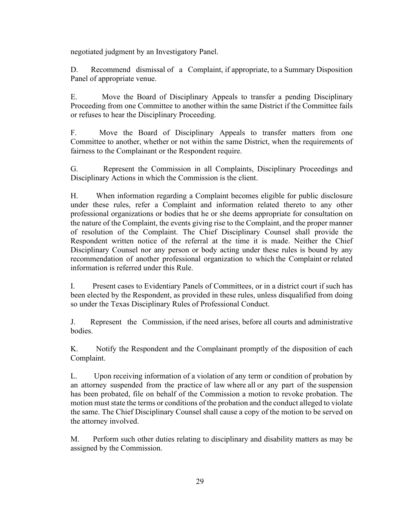negotiated judgment by an Investigatory Panel.

D. Recommend dismissal of a Complaint, if appropriate, to a Summary Disposition Panel of appropriate venue.

E. Move the Board of Disciplinary Appeals to transfer a pending Disciplinary Proceeding from one Committee to another within the same District if the Committee fails or refuses to hear the Disciplinary Proceeding.

F. Move the Board of Disciplinary Appeals to transfer matters from one Committee to another, whether or not within the same District, when the requirements of fairness to the Complainant or the Respondent require.

G. Represent the Commission in all Complaints, Disciplinary Proceedings and Disciplinary Actions in which the Commission is the client.

H. When information regarding a Complaint becomes eligible for public disclosure under these rules, refer a Complaint and information related thereto to any other professional organizations or bodies that he or she deems appropriate for consultation on the nature of the Complaint, the events giving rise to the Complaint, and the proper manner of resolution of the Complaint. The Chief Disciplinary Counsel shall provide the Respondent written notice of the referral at the time it is made. Neither the Chief Disciplinary Counsel nor any person or body acting under these rules is bound by any recommendation of another professional organization to which the Complaint or related information is referred under this Rule.

I. Present cases to Evidentiary Panels of Committees, or in a district court if such has been elected by the Respondent, as provided in these rules, unless disqualified from doing so under the Texas Disciplinary Rules of Professional Conduct.

J. Represent the Commission, if the need arises, before all courts and administrative bodies.

K. Notify the Respondent and the Complainant promptly of the disposition of each Complaint.

L. Upon receiving information of a violation of any term or condition of probation by an attorney suspended from the practice of law where all or any part of the suspension has been probated, file on behalf of the Commission a motion to revoke probation. The motion must state the terms or conditions of the probation and the conduct alleged to violate the same. The Chief Disciplinary Counsel shall cause a copy of the motion to be served on the attorney involved.

M. Perform such other duties relating to disciplinary and disability matters as may be assigned by the Commission.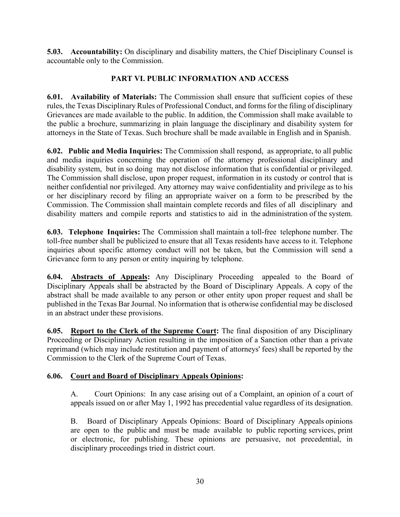**5.03. Accountability:** On disciplinary and disability matters, the Chief Disciplinary Counsel is accountable only to the Commission.

## **PART VI. PUBLIC INFORMATION AND ACCESS**

**6.01. Availability of Materials:** The Commission shall ensure that sufficient copies of these rules, the Texas Disciplinary Rules of Professional Conduct, and forms for the filing of disciplinary Grievances are made available to the public. In addition, the Commission shall make available to the public a brochure, summarizing in plain language the disciplinary and disability system for attorneys in the State of Texas. Such brochure shall be made available in English and in Spanish.

**6.02. Public and Media Inquiries:** The Commission shall respond, as appropriate, to all public and media inquiries concerning the operation of the attorney professional disciplinary and disability system, but in so doing may not disclose information that is confidential or privileged. The Commission shall disclose, upon proper request, information in its custody or control that is neither confidential nor privileged. Any attorney may waive confidentiality and privilege as to his or her disciplinary record by filing an appropriate waiver on a form to be prescribed by the Commission. The Commission shall maintain complete records and files of all disciplinary and disability matters and compile reports and statistics to aid in the administration of the system.

**6.03. Telephone Inquiries:** The Commission shall maintain a toll-free telephone number. The toll-free number shall be publicized to ensure that all Texas residents have access to it. Telephone inquiries about specific attorney conduct will not be taken, but the Commission will send a Grievance form to any person or entity inquiring by telephone.

**6.04. Abstracts of Appeals:** Any Disciplinary Proceeding appealed to the Board of Disciplinary Appeals shall be abstracted by the Board of Disciplinary Appeals. A copy of the abstract shall be made available to any person or other entity upon proper request and shall be published in the Texas Bar Journal. No information that is otherwise confidential may be disclosed in an abstract under these provisions.

**6.05. Report to the Clerk of the Supreme Court:** The final disposition of any Disciplinary Proceeding or Disciplinary Action resulting in the imposition of a Sanction other than a private reprimand (which may include restitution and payment of attorneys' fees) shall be reported by the Commission to the Clerk of the Supreme Court of Texas.

#### **6.06. Court and Board of Disciplinary Appeals Opinions:**

A. Court Opinions: In any case arising out of a Complaint, an opinion of a court of appeals issued on or after May 1, 1992 has precedential value regardless of its designation.

B. Board of Disciplinary Appeals Opinions: Board of Disciplinary Appeals opinions are open to the public and must be made available to public reporting services, print or electronic, for publishing. These opinions are persuasive, not precedential, in disciplinary proceedings tried in district court.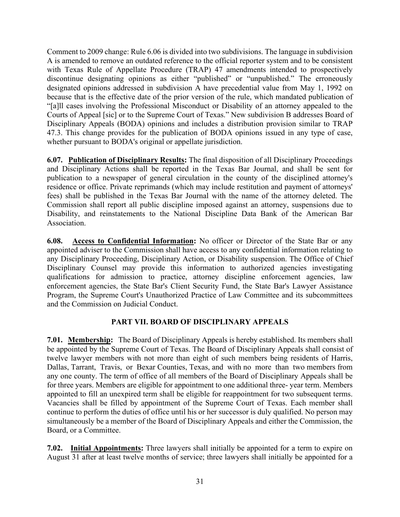Comment to 2009 change: Rule 6.06 is divided into two subdivisions. The language in subdivision A is amended to remove an outdated reference to the official reporter system and to be consistent with Texas Rule of Appellate Procedure (TRAP) 47 amendments intended to prospectively discontinue designating opinions as either "published" or "unpublished." The erroneously designated opinions addressed in subdivision A have precedential value from May 1, 1992 on because that is the effective date of the prior version of the rule, which mandated publication of "[a]ll cases involving the Professional Misconduct or Disability of an attorney appealed to the Courts of Appeal [sic] or to the Supreme Court of Texas." New subdivision B addresses Board of Disciplinary Appeals (BODA) opinions and includes a distribution provision similar to TRAP 47.3. This change provides for the publication of BODA opinions issued in any type of case, whether pursuant to BODA's original or appellate jurisdiction.

**6.07. Publication of Disciplinary Results:** The final disposition of all Disciplinary Proceedings and Disciplinary Actions shall be reported in the Texas Bar Journal, and shall be sent for publication to a newspaper of general circulation in the county of the disciplined attorney's residence or office. Private reprimands (which may include restitution and payment of attorneys' fees) shall be published in the Texas Bar Journal with the name of the attorney deleted. The Commission shall report all public discipline imposed against an attorney, suspensions due to Disability, and reinstatements to the National Discipline Data Bank of the American Bar Association.

**6.08. Access to Confidential Information:** No officer or Director of the State Bar or any appointed adviser to the Commission shall have access to any confidential information relating to any Disciplinary Proceeding, Disciplinary Action, or Disability suspension. The Office of Chief Disciplinary Counsel may provide this information to authorized agencies investigating qualifications for admission to practice, attorney discipline enforcement agencies, law enforcement agencies, the State Bar's Client Security Fund, the State Bar's Lawyer Assistance Program, the Supreme Court's Unauthorized Practice of Law Committee and its subcommittees and the Commission on Judicial Conduct.

## **PART VII. BOARD OF DISCIPLINARY APPEALS**

**7.01. Membership:** The Board of Disciplinary Appeals is hereby established. Its members shall be appointed by the Supreme Court of Texas. The Board of Disciplinary Appeals shall consist of twelve lawyer members with not more than eight of such members being residents of Harris, Dallas, Tarrant, Travis, or Bexar Counties, Texas, and with no more than two members from any one county. The term of office of all members of the Board of Disciplinary Appeals shall be for three years. Members are eligible for appointment to one additional three- year term. Members appointed to fill an unexpired term shall be eligible for reappointment for two subsequent terms. Vacancies shall be filled by appointment of the Supreme Court of Texas. Each member shall continue to perform the duties of office until his or her successor is duly qualified. No person may simultaneously be a member of the Board of Disciplinary Appeals and either the Commission, the Board, or a Committee.

**7.02. Initial Appointments:** Three lawyers shall initially be appointed for a term to expire on August 31 after at least twelve months of service; three lawyers shall initially be appointed for a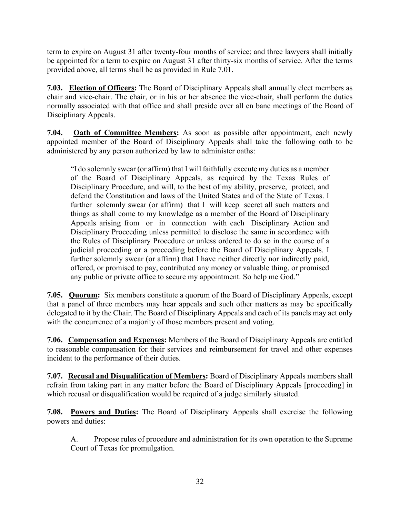term to expire on August 31 after twenty-four months of service; and three lawyers shall initially be appointed for a term to expire on August 31 after thirty-six months of service. After the terms provided above, all terms shall be as provided in Rule 7.01.

**7.03. Election of Officers:** The Board of Disciplinary Appeals shall annually elect members as chair and vice-chair. The chair, or in his or her absence the vice-chair, shall perform the duties normally associated with that office and shall preside over all en banc meetings of the Board of Disciplinary Appeals.

**7.04. Oath of Committee Members:** As soon as possible after appointment, each newly appointed member of the Board of Disciplinary Appeals shall take the following oath to be administered by any person authorized by law to administer oaths:

"I do solemnly swear (or affirm) that I will faithfully execute my duties as a member of the Board of Disciplinary Appeals, as required by the Texas Rules of Disciplinary Procedure, and will, to the best of my ability, preserve, protect, and defend the Constitution and laws of the United States and of the State of Texas. I further solemnly swear (or affirm) that I will keep secret all such matters and things as shall come to my knowledge as a member of the Board of Disciplinary Appeals arising from or in connection with each Disciplinary Action and Disciplinary Proceeding unless permitted to disclose the same in accordance with the Rules of Disciplinary Procedure or unless ordered to do so in the course of a judicial proceeding or a proceeding before the Board of Disciplinary Appeals. I further solemnly swear (or affirm) that I have neither directly nor indirectly paid, offered, or promised to pay, contributed any money or valuable thing, or promised any public or private office to secure my appointment. So help me God."

**7.05. Quorum:** Six members constitute a quorum of the Board of Disciplinary Appeals, except that a panel of three members may hear appeals and such other matters as may be specifically delegated to it by the Chair. The Board of Disciplinary Appeals and each of its panels may act only with the concurrence of a majority of those members present and voting.

**7.06. Compensation and Expenses:** Members of the Board of Disciplinary Appeals are entitled to reasonable compensation for their services and reimbursement for travel and other expenses incident to the performance of their duties.

**7.07. Recusal and Disqualification of Members:** Board of Disciplinary Appeals members shall refrain from taking part in any matter before the Board of Disciplinary Appeals [proceeding] in which recusal or disqualification would be required of a judge similarly situated.

**7.08. Powers and Duties:** The Board of Disciplinary Appeals shall exercise the following powers and duties:

A. Propose rules of procedure and administration for its own operation to the Supreme Court of Texas for promulgation.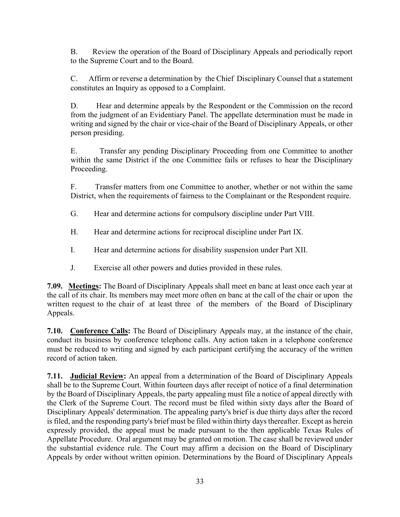B. Review the operation of the Board of Disciplinary Appeals and periodically report to the Supreme Court and to the Board.

C. Affirm or reverse a determination by the Chief Disciplinary Counsel that a statement constitutes an Inquiry as opposed to a Complaint.

D. Hear and determine appeals by the Respondent or the Commission on the record from the judgment of an Evidentiary Panel. The appellate determination must be made in writing and signed by the chair or vice-chair of the Board of Disciplinary Appeals, or other person presiding.

E. Transfer any pending Disciplinary Proceeding from one Committee to another within the same District if the one Committee fails or refuses to hear the Disciplinary Proceeding.

F. Transfer matters from one Committee to another, whether or not within the same District, when the requirements of fairness to the Complainant or the Respondent require.

- G. Hear and determine actions for compulsory discipline under Part VIII.
- H. Hear and determine actions for reciprocal discipline under Part IX.
- I. Hear and determine actions for disability suspension under Part XII.
- J. Exercise all other powers and duties provided in these rules.

**7.09. Meetings:** The Board of Disciplinary Appeals shall meet en banc at least once each year at the call of its chair. Its members may meet more often en banc at the call of the chair or upon the written request to the chair of at least three of the members of the Board of Disciplinary Appeals.

**7.10. Conference Calls:** The Board of Disciplinary Appeals may, at the instance of the chair, conduct its business by conference telephone calls. Any action taken in a telephone conference must be reduced to writing and signed by each participant certifying the accuracy of the written record of action taken.

**7.11. Judicial Review:** An appeal from a determination of the Board of Disciplinary Appeals shall be to the Supreme Court. Within fourteen days after receipt of notice of a final determination by the Board of Disciplinary Appeals, the party appealing must file a notice of appeal directly with the Clerk of the Supreme Court. The record must be filed within sixty days after the Board of Disciplinary Appeals' determination. The appealing party's brief is due thirty days after the record is filed, and the responding party's brief must be filed within thirty days thereafter. Except as herein expressly provided, the appeal must be made pursuant to the then applicable Texas Rules of Appellate Procedure. Oral argument may be granted on motion. The case shall be reviewed under the substantial evidence rule. The Court may affirm a decision on the Board of Disciplinary Appeals by order without written opinion. Determinations by the Board of Disciplinary Appeals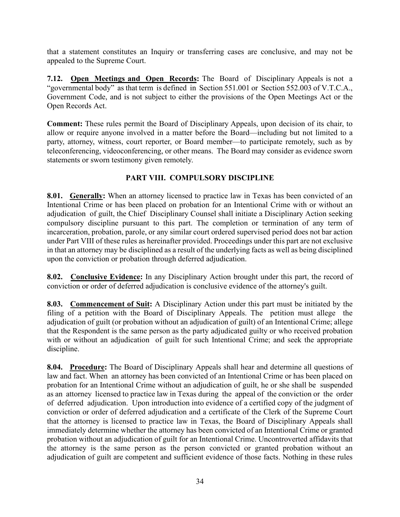that a statement constitutes an Inquiry or transferring cases are conclusive, and may not be appealed to the Supreme Court.

**7.12. Open Meetings and Open Records:** The Board of Disciplinary Appeals is not a "governmental body" as that term is defined in Section 551.001 or Section 552.003 of V.T.C.A., Government Code, and is not subject to either the provisions of the Open Meetings Act or the Open Records Act.

**Comment:** These rules permit the Board of Disciplinary Appeals, upon decision of its chair, to allow or require anyone involved in a matter before the Board—including but not limited to a party, attorney, witness, court reporter, or Board member—to participate remotely, such as by teleconferencing, videoconferencing, or other means. The Board may consider as evidence sworn statements or sworn testimony given remotely.

## **PART VIII. COMPULSORY DISCIPLINE**

**8.01. Generally:** When an attorney licensed to practice law in Texas has been convicted of an Intentional Crime or has been placed on probation for an Intentional Crime with or without an adjudication of guilt, the Chief Disciplinary Counsel shall initiate a Disciplinary Action seeking compulsory discipline pursuant to this part. The completion or termination of any term of incarceration, probation, parole, or any similar court ordered supervised period does not bar action under Part VIII of these rules as hereinafter provided. Proceedings under this part are not exclusive in that an attorney may be disciplined as a result of the underlying facts as well as being disciplined upon the conviction or probation through deferred adjudication.

**8.02. Conclusive Evidence:** In any Disciplinary Action brought under this part, the record of conviction or order of deferred adjudication is conclusive evidence of the attorney's guilt.

**8.03. Commencement of Suit:** A Disciplinary Action under this part must be initiated by the filing of a petition with the Board of Disciplinary Appeals. The petition must allege the adjudication of guilt (or probation without an adjudication of guilt) of an Intentional Crime; allege that the Respondent is the same person as the party adjudicated guilty or who received probation with or without an adjudication of guilt for such Intentional Crime; and seek the appropriate discipline.

**8.04. Procedure:** The Board of Disciplinary Appeals shall hear and determine all questions of law and fact. When an attorney has been convicted of an Intentional Crime or has been placed on probation for an Intentional Crime without an adjudication of guilt, he or she shall be suspended as an attorney licensed to practice law in Texas during the appeal of the conviction or the order of deferred adjudication. Upon introduction into evidence of a certified copy of the judgment of conviction or order of deferred adjudication and a certificate of the Clerk of the Supreme Court that the attorney is licensed to practice law in Texas, the Board of Disciplinary Appeals shall immediately determine whether the attorney has been convicted of an Intentional Crime or granted probation without an adjudication of guilt for an Intentional Crime. Uncontroverted affidavits that the attorney is the same person as the person convicted or granted probation without an adjudication of guilt are competent and sufficient evidence of those facts. Nothing in these rules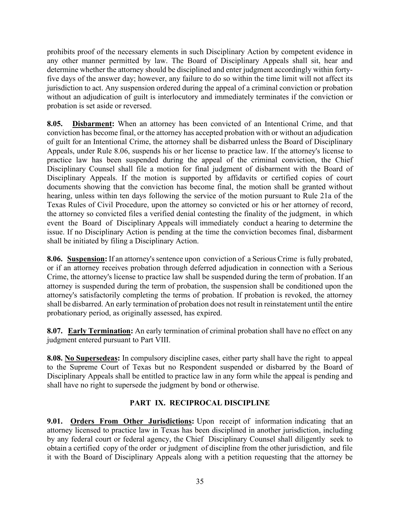prohibits proof of the necessary elements in such Disciplinary Action by competent evidence in any other manner permitted by law. The Board of Disciplinary Appeals shall sit, hear and determine whether the attorney should be disciplined and enter judgment accordingly within fortyfive days of the answer day; however, any failure to do so within the time limit will not affect its jurisdiction to act. Any suspension ordered during the appeal of a criminal conviction or probation without an adjudication of guilt is interlocutory and immediately terminates if the conviction or probation is set aside or reversed.

**8.05. Disbarment:** When an attorney has been convicted of an Intentional Crime, and that conviction has become final, or the attorney has accepted probation with or without an adjudication of guilt for an Intentional Crime, the attorney shall be disbarred unless the Board of Disciplinary Appeals, under Rule 8.06, suspends his or her license to practice law. If the attorney's license to practice law has been suspended during the appeal of the criminal conviction, the Chief Disciplinary Counsel shall file a motion for final judgment of disbarment with the Board of Disciplinary Appeals. If the motion is supported by affidavits or certified copies of court documents showing that the conviction has become final, the motion shall be granted without hearing, unless within ten days following the service of the motion pursuant to Rule 21a of the Texas Rules of Civil Procedure, upon the attorney so convicted or his or her attorney of record, the attorney so convicted files a verified denial contesting the finality of the judgment, in which event the Board of Disciplinary Appeals will immediately conduct a hearing to determine the issue. If no Disciplinary Action is pending at the time the conviction becomes final, disbarment shall be initiated by filing a Disciplinary Action.

**8.06. Suspension:** If an attorney's sentence upon conviction of a Serious Crime is fully probated, or if an attorney receives probation through deferred adjudication in connection with a Serious Crime, the attorney's license to practice law shall be suspended during the term of probation. If an attorney is suspended during the term of probation, the suspension shall be conditioned upon the attorney's satisfactorily completing the terms of probation. If probation is revoked, the attorney shall be disbarred. An early termination of probation does not result in reinstatement until the entire probationary period, as originally assessed, has expired.

**8.07. Early Termination:** An early termination of criminal probation shall have no effect on any judgment entered pursuant to Part VIII.

**8.08. No Supersedeas:** In compulsory discipline cases, either party shall have the right to appeal to the Supreme Court of Texas but no Respondent suspended or disbarred by the Board of Disciplinary Appeals shall be entitled to practice law in any form while the appeal is pending and shall have no right to supersede the judgment by bond or otherwise.

## **PART IX. RECIPROCAL DISCIPLINE**

**9.01. Orders From Other Jurisdictions:** Upon receipt of information indicating that an attorney licensed to practice law in Texas has been disciplined in another jurisdiction, including by any federal court or federal agency, the Chief Disciplinary Counsel shall diligently seek to obtain a certified copy of the order or judgment of discipline from the other jurisdiction, and file it with the Board of Disciplinary Appeals along with a petition requesting that the attorney be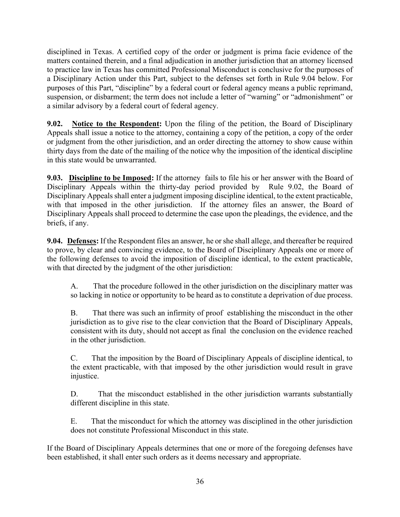disciplined in Texas. A certified copy of the order or judgment is prima facie evidence of the matters contained therein, and a final adjudication in another jurisdiction that an attorney licensed to practice law in Texas has committed Professional Misconduct is conclusive for the purposes of a Disciplinary Action under this Part, subject to the defenses set forth in Rule 9.04 below. For purposes of this Part, "discipline" by a federal court or federal agency means a public reprimand, suspension, or disbarment; the term does not include a letter of "warning" or "admonishment" or a similar advisory by a federal court of federal agency.

**9.02. Notice to the Respondent:** Upon the filing of the petition, the Board of Disciplinary Appeals shall issue a notice to the attorney, containing a copy of the petition, a copy of the order or judgment from the other jurisdiction, and an order directing the attorney to show cause within thirty days from the date of the mailing of the notice why the imposition of the identical discipline in this state would be unwarranted.

**9.03. Discipline to be Imposed:** If the attorney fails to file his or her answer with the Board of Disciplinary Appeals within the thirty-day period provided by Rule 9.02, the Board of Disciplinary Appeals shall enter a judgment imposing discipline identical, to the extent practicable, with that imposed in the other jurisdiction. If the attorney files an answer, the Board of Disciplinary Appeals shall proceed to determine the case upon the pleadings, the evidence, and the briefs, if any.

**9.04. Defenses:** If the Respondent files an answer, he or she shall allege, and thereafter be required to prove, by clear and convincing evidence, to the Board of Disciplinary Appeals one or more of the following defenses to avoid the imposition of discipline identical, to the extent practicable, with that directed by the judgment of the other jurisdiction:

A. That the procedure followed in the other jurisdiction on the disciplinary matter was so lacking in notice or opportunity to be heard as to constitute a deprivation of due process.

B. That there was such an infirmity of proof establishing the misconduct in the other jurisdiction as to give rise to the clear conviction that the Board of Disciplinary Appeals, consistent with its duty, should not accept as final the conclusion on the evidence reached in the other jurisdiction.

C. That the imposition by the Board of Disciplinary Appeals of discipline identical, to the extent practicable, with that imposed by the other jurisdiction would result in grave injustice.

D. That the misconduct established in the other jurisdiction warrants substantially different discipline in this state.

E. That the misconduct for which the attorney was disciplined in the other jurisdiction does not constitute Professional Misconduct in this state.

If the Board of Disciplinary Appeals determines that one or more of the foregoing defenses have been established, it shall enter such orders as it deems necessary and appropriate.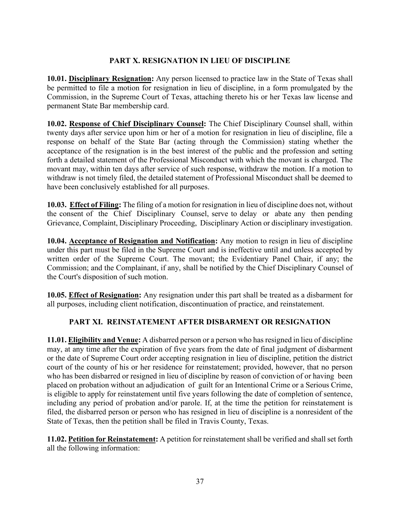## **PART X. RESIGNATION IN LIEU OF DISCIPLINE**

**10.01. Disciplinary Resignation:** Any person licensed to practice law in the State of Texas shall be permitted to file a motion for resignation in lieu of discipline, in a form promulgated by the Commission, in the Supreme Court of Texas, attaching thereto his or her Texas law license and permanent State Bar membership card.

**10.02. Response of Chief Disciplinary Counsel:** The Chief Disciplinary Counsel shall, within twenty days after service upon him or her of a motion for resignation in lieu of discipline, file a response on behalf of the State Bar (acting through the Commission) stating whether the acceptance of the resignation is in the best interest of the public and the profession and setting forth a detailed statement of the Professional Misconduct with which the movant is charged. The movant may, within ten days after service of such response, withdraw the motion. If a motion to withdraw is not timely filed, the detailed statement of Professional Misconduct shall be deemed to have been conclusively established for all purposes.

**10.03. Effect of Filing:** The filing of a motion for resignation in lieu of discipline does not, without the consent of the Chief Disciplinary Counsel, serve to delay or abate any then pending Grievance, Complaint, Disciplinary Proceeding, Disciplinary Action or disciplinary investigation.

**10.04. Acceptance of Resignation and Notification:** Any motion to resign in lieu of discipline under this part must be filed in the Supreme Court and is ineffective until and unless accepted by written order of the Supreme Court. The movant; the Evidentiary Panel Chair, if any; the Commission; and the Complainant, if any, shall be notified by the Chief Disciplinary Counsel of the Court's disposition of such motion.

**10.05. Effect of Resignation:** Any resignation under this part shall be treated as a disbarment for all purposes, including client notification, discontinuation of practice, and reinstatement.

#### **PART XI. REINSTATEMENT AFTER DISBARMENT OR RESIGNATION**

**11.01. Eligibility and Venue:** A disbarred person or a person who has resigned in lieu of discipline may, at any time after the expiration of five years from the date of final judgment of disbarment or the date of Supreme Court order accepting resignation in lieu of discipline, petition the district court of the county of his or her residence for reinstatement; provided, however, that no person who has been disbarred or resigned in lieu of discipline by reason of conviction of or having been placed on probation without an adjudication of guilt for an Intentional Crime or a Serious Crime, is eligible to apply for reinstatement until five years following the date of completion of sentence, including any period of probation and/or parole. If, at the time the petition for reinstatement is filed, the disbarred person or person who has resigned in lieu of discipline is a nonresident of the State of Texas, then the petition shall be filed in Travis County, Texas.

**11.02. Petition for Reinstatement:** A petition for reinstatement shall be verified and shall set forth all the following information: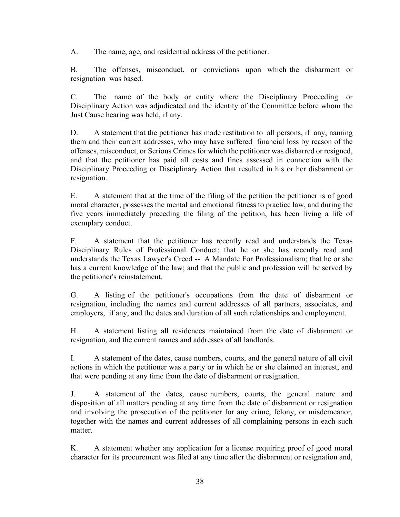A. The name, age, and residential address of the petitioner.

B. The offenses, misconduct, or convictions upon which the disbarment or resignation was based.

C. The name of the body or entity where the Disciplinary Proceeding or Disciplinary Action was adjudicated and the identity of the Committee before whom the Just Cause hearing was held, if any.

D. A statement that the petitioner has made restitution to all persons, if any, naming them and their current addresses, who may have suffered financial loss by reason of the offenses, misconduct, or Serious Crimes for which the petitioner was disbarred or resigned, and that the petitioner has paid all costs and fines assessed in connection with the Disciplinary Proceeding or Disciplinary Action that resulted in his or her disbarment or resignation.

E. A statement that at the time of the filing of the petition the petitioner is of good moral character, possesses the mental and emotional fitness to practice law, and during the five years immediately preceding the filing of the petition, has been living a life of exemplary conduct.

F. A statement that the petitioner has recently read and understands the Texas Disciplinary Rules of Professional Conduct; that he or she has recently read and understands the Texas Lawyer's Creed -- A Mandate For Professionalism; that he or she has a current knowledge of the law; and that the public and profession will be served by the petitioner's reinstatement.

G. A listing of the petitioner's occupations from the date of disbarment or resignation, including the names and current addresses of all partners, associates, and employers, if any, and the dates and duration of all such relationships and employment.

H. A statement listing all residences maintained from the date of disbarment or resignation, and the current names and addresses of all landlords.

I. A statement of the dates, cause numbers, courts, and the general nature of all civil actions in which the petitioner was a party or in which he or she claimed an interest, and that were pending at any time from the date of disbarment or resignation.

J. A statement of the dates, cause numbers, courts, the general nature and disposition of all matters pending at any time from the date of disbarment or resignation and involving the prosecution of the petitioner for any crime, felony, or misdemeanor, together with the names and current addresses of all complaining persons in each such matter.

K. A statement whether any application for a license requiring proof of good moral character for its procurement was filed at any time after the disbarment or resignation and,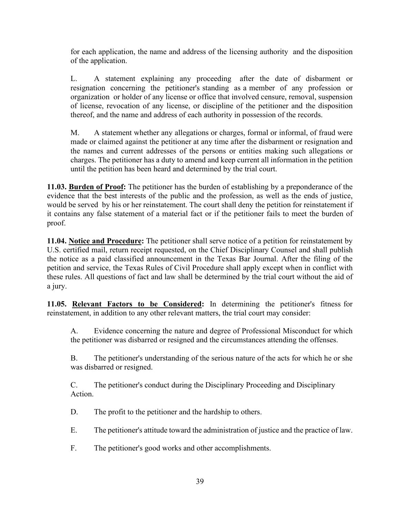for each application, the name and address of the licensing authority and the disposition of the application.

L. A statement explaining any proceeding after the date of disbarment or resignation concerning the petitioner's standing as a member of any profession or organization or holder of any license or office that involved censure, removal, suspension of license, revocation of any license, or discipline of the petitioner and the disposition thereof, and the name and address of each authority in possession of the records.

M. A statement whether any allegations or charges, formal or informal, of fraud were made or claimed against the petitioner at any time after the disbarment or resignation and the names and current addresses of the persons or entities making such allegations or charges. The petitioner has a duty to amend and keep current all information in the petition until the petition has been heard and determined by the trial court.

**11.03. Burden of Proof:** The petitioner has the burden of establishing by a preponderance of the evidence that the best interests of the public and the profession, as well as the ends of justice, would be served by his or her reinstatement. The court shall deny the petition for reinstatement if it contains any false statement of a material fact or if the petitioner fails to meet the burden of proof.

**11.04. Notice and Procedure:** The petitioner shall serve notice of a petition for reinstatement by U.S. certified mail, return receipt requested, on the Chief Disciplinary Counsel and shall publish the notice as a paid classified announcement in the Texas Bar Journal. After the filing of the petition and service, the Texas Rules of Civil Procedure shall apply except when in conflict with these rules. All questions of fact and law shall be determined by the trial court without the aid of a jury.

**11.05. Relevant Factors to be Considered:** In determining the petitioner's fitness for reinstatement, in addition to any other relevant matters, the trial court may consider:

A. Evidence concerning the nature and degree of Professional Misconduct for which the petitioner was disbarred or resigned and the circumstances attending the offenses.

B. The petitioner's understanding of the serious nature of the acts for which he or she was disbarred or resigned.

C. The petitioner's conduct during the Disciplinary Proceeding and Disciplinary Action.

D. The profit to the petitioner and the hardship to others.

E. The petitioner's attitude toward the administration of justice and the practice of law.

F. The petitioner's good works and other accomplishments.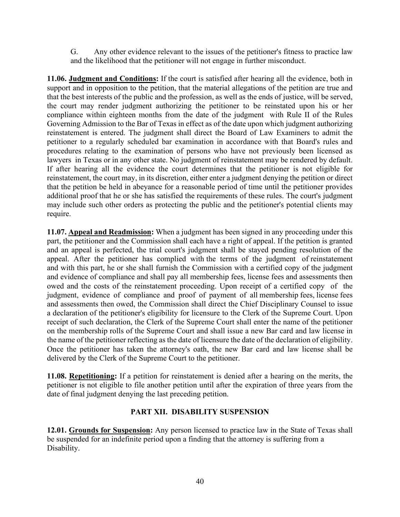G. Any other evidence relevant to the issues of the petitioner's fitness to practice law and the likelihood that the petitioner will not engage in further misconduct.

**11.06. Judgment and Conditions:** If the court is satisfied after hearing all the evidence, both in support and in opposition to the petition, that the material allegations of the petition are true and that the best interests of the public and the profession, as well as the ends of justice, will be served, the court may render judgment authorizing the petitioner to be reinstated upon his or her compliance within eighteen months from the date of the judgment with Rule II of the Rules Governing Admission to the Bar of Texas in effect as of the date upon which judgment authorizing reinstatement is entered. The judgment shall direct the Board of Law Examiners to admit the petitioner to a regularly scheduled bar examination in accordance with that Board's rules and procedures relating to the examination of persons who have not previously been licensed as lawyers in Texas or in any other state. No judgment of reinstatement may be rendered by default. If after hearing all the evidence the court determines that the petitioner is not eligible for reinstatement, the court may, in its discretion, either enter a judgment denying the petition or direct that the petition be held in abeyance for a reasonable period of time until the petitioner provides additional proof that he or she has satisfied the requirements of these rules. The court's judgment may include such other orders as protecting the public and the petitioner's potential clients may require.

**11.07. Appeal and Readmission:** When a judgment has been signed in any proceeding under this part, the petitioner and the Commission shall each have a right of appeal. If the petition is granted and an appeal is perfected, the trial court's judgment shall be stayed pending resolution of the appeal. After the petitioner has complied with the terms of the judgment of reinstatement and with this part, he or she shall furnish the Commission with a certified copy of the judgment and evidence of compliance and shall pay all membership fees, license fees and assessments then owed and the costs of the reinstatement proceeding. Upon receipt of a certified copy of the judgment, evidence of compliance and proof of payment of all membership fees, license fees and assessments then owed, the Commission shall direct the Chief Disciplinary Counsel to issue a declaration of the petitioner's eligibility for licensure to the Clerk of the Supreme Court. Upon receipt of such declaration, the Clerk of the Supreme Court shall enter the name of the petitioner on the membership rolls of the Supreme Court and shall issue a new Bar card and law license in the name of the petitioner reflecting as the date of licensure the date of the declaration of eligibility. Once the petitioner has taken the attorney's oath, the new Bar card and law license shall be delivered by the Clerk of the Supreme Court to the petitioner.

**11.08. Repetitioning:** If a petition for reinstatement is denied after a hearing on the merits, the petitioner is not eligible to file another petition until after the expiration of three years from the date of final judgment denying the last preceding petition.

#### **PART XII. DISABILITY SUSPENSION**

**12.01. Grounds for Suspension:** Any person licensed to practice law in the State of Texas shall be suspended for an indefinite period upon a finding that the attorney is suffering from a Disability.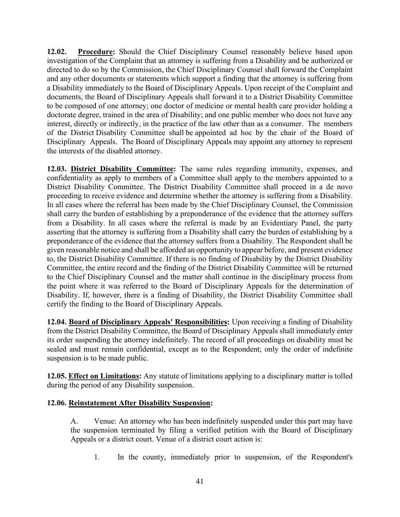**12.02. Procedure:** Should the Chief Disciplinary Counsel reasonably believe based upon investigation of the Complaint that an attorney is suffering from a Disability and be authorized or directed to do so by the Commission, the Chief Disciplinary Counsel shall forward the Complaint and any other documents or statements which support a finding that the attorney is suffering from a Disability immediately to the Board of Disciplinary Appeals. Upon receipt of the Complaint and documents, the Board of Disciplinary Appeals shall forward it to a District Disability Committee to be composed of one attorney; one doctor of medicine or mental health care provider holding a doctorate degree, trained in the area of Disability; and one public member who does not have any interest, directly or indirectly, in the practice of the law other than as a consumer. The members of the District Disability Committee shall be appointed ad hoc by the chair of the Board of Disciplinary Appeals. The Board of Disciplinary Appeals may appoint any attorney to represent the interests of the disabled attorney.

**12.03. District Disability Committee:** The same rules regarding immunity, expenses, and confidentiality as apply to members of a Committee shall apply to the members appointed to a District Disability Committee. The District Disability Committee shall proceed in a de novo proceeding to receive evidence and determine whether the attorney is suffering from a Disability. In all cases where the referral has been made by the Chief Disciplinary Counsel, the Commission shall carry the burden of establishing by a preponderance of the evidence that the attorney suffers from a Disability. In all cases where the referral is made by an Evidentiary Panel, the party asserting that the attorney is suffering from a Disability shall carry the burden of establishing by a preponderance of the evidence that the attorney suffers from a Disability. The Respondent shall be given reasonable notice and shall be afforded an opportunity to appear before, and present evidence to, the District Disability Committee. If there is no finding of Disability by the District Disability Committee, the entire record and the finding of the District Disability Committee will be returned to the Chief Disciplinary Counsel and the matter shall continue in the disciplinary process from the point where it was referred to the Board of Disciplinary Appeals for the determination of Disability. If, however, there is a finding of Disability, the District Disability Committee shall certify the finding to the Board of Disciplinary Appeals.

**12.04. Board of Disciplinary Appeals' Responsibilities:** Upon receiving a finding of Disability from the District Disability Committee, the Board of Disciplinary Appeals shall immediately enter its order suspending the attorney indefinitely. The record of all proceedings on disability must be sealed and must remain confidential, except as to the Respondent; only the order of indefinite suspension is to be made public.

**12.05. Effect on Limitations:** Any statute of limitations applying to a disciplinary matter is tolled during the period of any Disability suspension.

#### **12.06. Reinstatement After Disability Suspension:**

A. Venue: An attorney who has been indefinitely suspended under this part may have the suspension terminated by filing a verified petition with the Board of Disciplinary Appeals or a district court. Venue of a district court action is:

1. In the county, immediately prior to suspension, of the Respondent's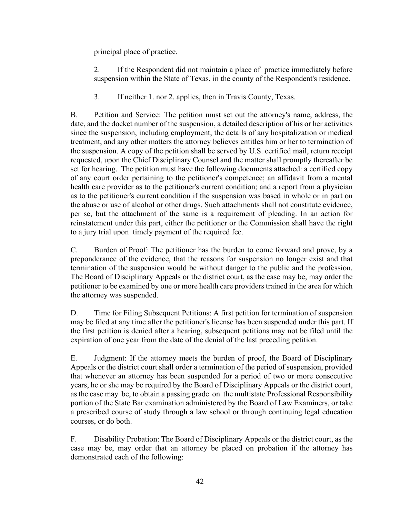principal place of practice.

2. If the Respondent did not maintain a place of practice immediately before suspension within the State of Texas, in the county of the Respondent's residence.

3. If neither 1. nor 2. applies, then in Travis County, Texas.

B. Petition and Service: The petition must set out the attorney's name, address, the date, and the docket number of the suspension, a detailed description of his or her activities since the suspension, including employment, the details of any hospitalization or medical treatment, and any other matters the attorney believes entitles him or her to termination of the suspension. A copy of the petition shall be served by U.S. certified mail, return receipt requested, upon the Chief Disciplinary Counsel and the matter shall promptly thereafter be set for hearing. The petition must have the following documents attached: a certified copy of any court order pertaining to the petitioner's competence; an affidavit from a mental health care provider as to the petitioner's current condition; and a report from a physician as to the petitioner's current condition if the suspension was based in whole or in part on the abuse or use of alcohol or other drugs. Such attachments shall not constitute evidence, per se, but the attachment of the same is a requirement of pleading. In an action for reinstatement under this part, either the petitioner or the Commission shall have the right to a jury trial upon timely payment of the required fee.

C. Burden of Proof: The petitioner has the burden to come forward and prove, by a preponderance of the evidence, that the reasons for suspension no longer exist and that termination of the suspension would be without danger to the public and the profession. The Board of Disciplinary Appeals or the district court, as the case may be, may order the petitioner to be examined by one or more health care providers trained in the area for which the attorney was suspended.

D. Time for Filing Subsequent Petitions: A first petition for termination of suspension may be filed at any time after the petitioner's license has been suspended under this part. If the first petition is denied after a hearing, subsequent petitions may not be filed until the expiration of one year from the date of the denial of the last preceding petition.

E. Judgment: If the attorney meets the burden of proof, the Board of Disciplinary Appeals or the district court shall order a termination of the period of suspension, provided that whenever an attorney has been suspended for a period of two or more consecutive years, he or she may be required by the Board of Disciplinary Appeals or the district court, as the case may be, to obtain a passing grade on the multistate Professional Responsibility portion of the State Bar examination administered by the Board of Law Examiners, or take a prescribed course of study through a law school or through continuing legal education courses, or do both.

F. Disability Probation: The Board of Disciplinary Appeals or the district court, as the case may be, may order that an attorney be placed on probation if the attorney has demonstrated each of the following: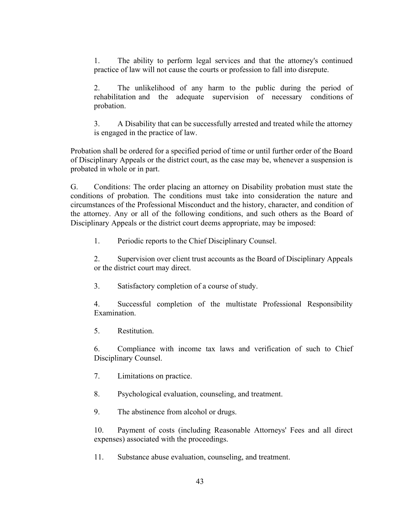1. The ability to perform legal services and that the attorney's continued practice of law will not cause the courts or profession to fall into disrepute.

2. The unlikelihood of any harm to the public during the period of rehabilitation and the adequate supervision of necessary conditions of probation.

3. A Disability that can be successfully arrested and treated while the attorney is engaged in the practice of law.

Probation shall be ordered for a specified period of time or until further order of the Board of Disciplinary Appeals or the district court, as the case may be, whenever a suspension is probated in whole or in part.

G. Conditions: The order placing an attorney on Disability probation must state the conditions of probation. The conditions must take into consideration the nature and circumstances of the Professional Misconduct and the history, character, and condition of the attorney. Any or all of the following conditions, and such others as the Board of Disciplinary Appeals or the district court deems appropriate, may be imposed:

1. Periodic reports to the Chief Disciplinary Counsel.

2. Supervision over client trust accounts as the Board of Disciplinary Appeals or the district court may direct.

3. Satisfactory completion of a course of study.

4. Successful completion of the multistate Professional Responsibility Examination.

5. Restitution.

6. Compliance with income tax laws and verification of such to Chief Disciplinary Counsel.

7. Limitations on practice.

8. Psychological evaluation, counseling, and treatment.

9. The abstinence from alcohol or drugs.

10. Payment of costs (including Reasonable Attorneys' Fees and all direct expenses) associated with the proceedings.

11. Substance abuse evaluation, counseling, and treatment.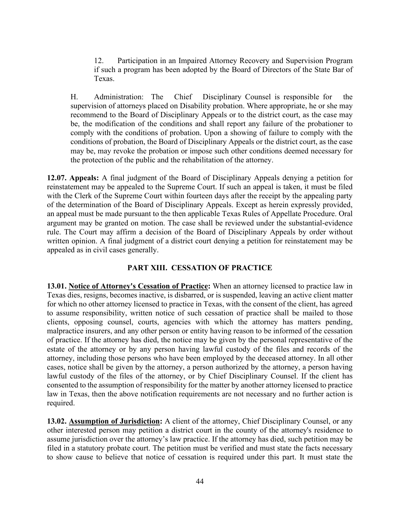12. Participation in an Impaired Attorney Recovery and Supervision Program if such a program has been adopted by the Board of Directors of the State Bar of Texas.

H. Administration: The Chief Disciplinary Counsel is responsible for the supervision of attorneys placed on Disability probation. Where appropriate, he or she may recommend to the Board of Disciplinary Appeals or to the district court, as the case may be, the modification of the conditions and shall report any failure of the probationer to comply with the conditions of probation. Upon a showing of failure to comply with the conditions of probation, the Board of Disciplinary Appeals or the district court, as the case may be, may revoke the probation or impose such other conditions deemed necessary for the protection of the public and the rehabilitation of the attorney.

**12.07. Appeals:** A final judgment of the Board of Disciplinary Appeals denying a petition for reinstatement may be appealed to the Supreme Court. If such an appeal is taken, it must be filed with the Clerk of the Supreme Court within fourteen days after the receipt by the appealing party of the determination of the Board of Disciplinary Appeals. Except as herein expressly provided, an appeal must be made pursuant to the then applicable Texas Rules of Appellate Procedure. Oral argument may be granted on motion. The case shall be reviewed under the substantial-evidence rule. The Court may affirm a decision of the Board of Disciplinary Appeals by order without written opinion. A final judgment of a district court denying a petition for reinstatement may be appealed as in civil cases generally.

#### **PART XIII. CESSATION OF PRACTICE**

**13.01. Notice of Attorney's Cessation of Practice:** When an attorney licensed to practice law in Texas dies, resigns, becomes inactive, is disbarred, or is suspended, leaving an active client matter for which no other attorney licensed to practice in Texas, with the consent of the client, has agreed to assume responsibility, written notice of such cessation of practice shall be mailed to those clients, opposing counsel, courts, agencies with which the attorney has matters pending, malpractice insurers, and any other person or entity having reason to be informed of the cessation of practice. If the attorney has died, the notice may be given by the personal representative of the estate of the attorney or by any person having lawful custody of the files and records of the attorney, including those persons who have been employed by the deceased attorney. In all other cases, notice shall be given by the attorney, a person authorized by the attorney, a person having lawful custody of the files of the attorney, or by Chief Disciplinary Counsel. If the client has consented to the assumption of responsibility for the matter by another attorney licensed to practice law in Texas, then the above notification requirements are not necessary and no further action is required.

**13.02. Assumption of Jurisdiction:** A client of the attorney, Chief Disciplinary Counsel, or any other interested person may petition a district court in the county of the attorney's residence to assume jurisdiction over the attorney's law practice. If the attorney has died, such petition may be filed in a statutory probate court. The petition must be verified and must state the facts necessary to show cause to believe that notice of cessation is required under this part. It must state the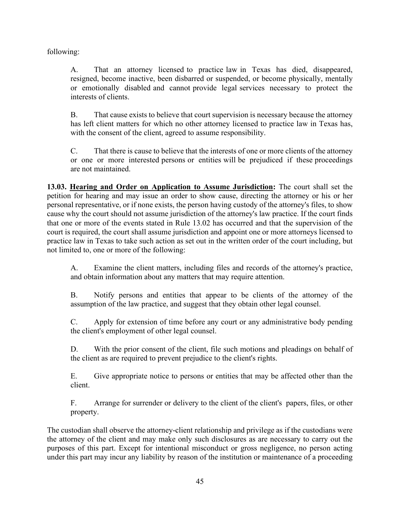following:

A. That an attorney licensed to practice law in Texas has died, disappeared, resigned, become inactive, been disbarred or suspended, or become physically, mentally or emotionally disabled and cannot provide legal services necessary to protect the interests of clients.

B. That cause exists to believe that court supervision is necessary because the attorney has left client matters for which no other attorney licensed to practice law in Texas has, with the consent of the client, agreed to assume responsibility.

C. That there is cause to believe that the interests of one or more clients of the attorney or one or more interested persons or entities will be prejudiced if these proceedings are not maintained.

**13.03. Hearing and Order on Application to Assume Jurisdiction:** The court shall set the petition for hearing and may issue an order to show cause, directing the attorney or his or her personal representative, or if none exists, the person having custody of the attorney's files, to show cause why the court should not assume jurisdiction of the attorney's law practice. If the court finds that one or more of the events stated in Rule 13.02 has occurred and that the supervision of the court is required, the court shall assume jurisdiction and appoint one or more attorneys licensed to practice law in Texas to take such action as set out in the written order of the court including, but not limited to, one or more of the following:

A. Examine the client matters, including files and records of the attorney's practice, and obtain information about any matters that may require attention.

B. Notify persons and entities that appear to be clients of the attorney of the assumption of the law practice, and suggest that they obtain other legal counsel.

C. Apply for extension of time before any court or any administrative body pending the client's employment of other legal counsel.

D. With the prior consent of the client, file such motions and pleadings on behalf of the client as are required to prevent prejudice to the client's rights.

E. Give appropriate notice to persons or entities that may be affected other than the client.

F. Arrange for surrender or delivery to the client of the client's papers, files, or other property.

The custodian shall observe the attorney-client relationship and privilege as if the custodians were the attorney of the client and may make only such disclosures as are necessary to carry out the purposes of this part. Except for intentional misconduct or gross negligence, no person acting under this part may incur any liability by reason of the institution or maintenance of a proceeding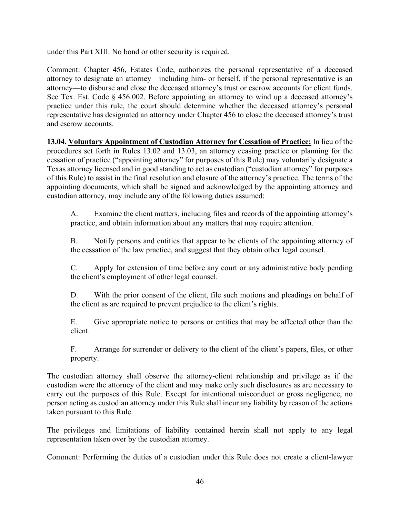under this Part XIII. No bond or other security is required.

Comment: Chapter 456, Estates Code, authorizes the personal representative of a deceased attorney to designate an attorney—including him- or herself, if the personal representative is an attorney—to disburse and close the deceased attorney's trust or escrow accounts for client funds. See Tex. Est. Code § 456.002. Before appointing an attorney to wind up a deceased attorney's practice under this rule, the court should determine whether the deceased attorney's personal representative has designated an attorney under Chapter 456 to close the deceased attorney's trust and escrow accounts.

**13.04. Voluntary Appointment of Custodian Attorney for Cessation of Practice:** In lieu of the procedures set forth in Rules 13.02 and 13.03, an attorney ceasing practice or planning for the cessation of practice ("appointing attorney" for purposes of this Rule) may voluntarily designate a Texas attorney licensed and in good standing to act as custodian ("custodian attorney" for purposes of this Rule) to assist in the final resolution and closure of the attorney's practice. The terms of the appointing documents, which shall be signed and acknowledged by the appointing attorney and custodian attorney, may include any of the following duties assumed:

A. Examine the client matters, including files and records of the appointing attorney's practice, and obtain information about any matters that may require attention.

B. Notify persons and entities that appear to be clients of the appointing attorney of the cessation of the law practice, and suggest that they obtain other legal counsel.

C. Apply for extension of time before any court or any administrative body pending the client's employment of other legal counsel.

D. With the prior consent of the client, file such motions and pleadings on behalf of the client as are required to prevent prejudice to the client's rights.

E. Give appropriate notice to persons or entities that may be affected other than the client.

F. Arrange for surrender or delivery to the client of the client's papers, files, or other property.

The custodian attorney shall observe the attorney-client relationship and privilege as if the custodian were the attorney of the client and may make only such disclosures as are necessary to carry out the purposes of this Rule. Except for intentional misconduct or gross negligence, no person acting as custodian attorney under this Rule shall incur any liability by reason of the actions taken pursuant to this Rule.

The privileges and limitations of liability contained herein shall not apply to any legal representation taken over by the custodian attorney.

Comment: Performing the duties of a custodian under this Rule does not create a client-lawyer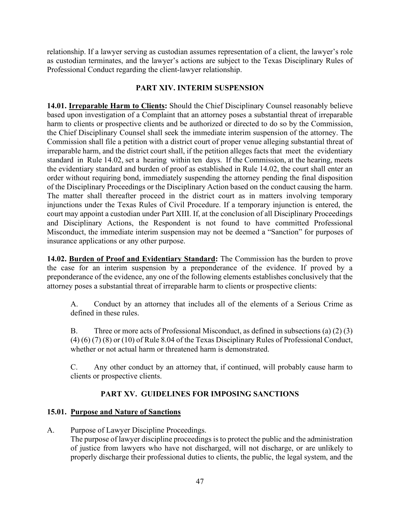relationship. If a lawyer serving as custodian assumes representation of a client, the lawyer's role as custodian terminates, and the lawyer's actions are subject to the Texas Disciplinary Rules of Professional Conduct regarding the client-lawyer relationship.

## **PART XIV. INTERIM SUSPENSION**

**14.01. Irreparable Harm to Clients:** Should the Chief Disciplinary Counsel reasonably believe based upon investigation of a Complaint that an attorney poses a substantial threat of irreparable harm to clients or prospective clients and be authorized or directed to do so by the Commission, the Chief Disciplinary Counsel shall seek the immediate interim suspension of the attorney. The Commission shall file a petition with a district court of proper venue alleging substantial threat of irreparable harm, and the district court shall, if the petition alleges facts that meet the evidentiary standard in Rule 14.02, set a hearing within ten days. If the Commission, at the hearing, meets the evidentiary standard and burden of proof as established in Rule 14.02, the court shall enter an order without requiring bond, immediately suspending the attorney pending the final disposition of the Disciplinary Proceedings or the Disciplinary Action based on the conduct causing the harm. The matter shall thereafter proceed in the district court as in matters involving temporary injunctions under the Texas Rules of Civil Procedure. If a temporary injunction is entered, the court may appoint a custodian under Part XIII. If, at the conclusion of all Disciplinary Proceedings and Disciplinary Actions, the Respondent is not found to have committed Professional Misconduct, the immediate interim suspension may not be deemed a "Sanction" for purposes of insurance applications or any other purpose.

**14.02. Burden of Proof and Evidentiary Standard:** The Commission has the burden to prove the case for an interim suspension by a preponderance of the evidence. If proved by a preponderance of the evidence, any one of the following elements establishes conclusively that the attorney poses a substantial threat of irreparable harm to clients or prospective clients:

A. Conduct by an attorney that includes all of the elements of a Serious Crime as defined in these rules.

B. Three or more acts of Professional Misconduct, as defined in subsections (a) (2) (3) (4) (6) (7) (8) or (10) of Rule 8.04 of the Texas Disciplinary Rules of Professional Conduct, whether or not actual harm or threatened harm is demonstrated.

C. Any other conduct by an attorney that, if continued, will probably cause harm to clients or prospective clients.

## **PART XV. GUIDELINES FOR IMPOSING SANCTIONS**

## **15.01. Purpose and Nature of Sanctions**

A. Purpose of Lawyer Discipline Proceedings.

The purpose of lawyer discipline proceedings is to protect the public and the administration of justice from lawyers who have not discharged, will not discharge, or are unlikely to properly discharge their professional duties to clients, the public, the legal system, and the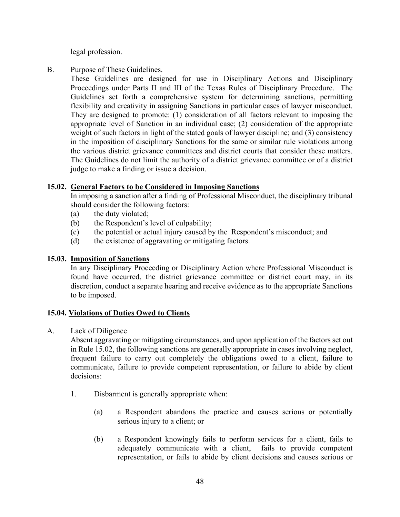legal profession.

B. Purpose of These Guidelines.

These Guidelines are designed for use in Disciplinary Actions and Disciplinary Proceedings under Parts II and III of the Texas Rules of Disciplinary Procedure. The Guidelines set forth a comprehensive system for determining sanctions, permitting flexibility and creativity in assigning Sanctions in particular cases of lawyer misconduct. They are designed to promote: (1) consideration of all factors relevant to imposing the appropriate level of Sanction in an individual case; (2) consideration of the appropriate weight of such factors in light of the stated goals of lawyer discipline; and (3) consistency in the imposition of disciplinary Sanctions for the same or similar rule violations among the various district grievance committees and district courts that consider these matters. The Guidelines do not limit the authority of a district grievance committee or of a district judge to make a finding or issue a decision.

#### **15.02. General Factors to be Considered in Imposing Sanctions**

In imposing a sanction after a finding of Professional Misconduct, the disciplinary tribunal should consider the following factors:

- (a) the duty violated;
- (b) the Respondent's level of culpability;
- (c) the potential or actual injury caused by the Respondent's misconduct; and
- (d) the existence of aggravating or mitigating factors.

#### **15.03. Imposition of Sanctions**

In any Disciplinary Proceeding or Disciplinary Action where Professional Misconduct is found have occurred, the district grievance committee or district court may, in its discretion, conduct a separate hearing and receive evidence as to the appropriate Sanctions to be imposed.

#### **15.04. Violations of Duties Owed to Clients**

A. Lack of Diligence

Absent aggravating or mitigating circumstances, and upon application of the factors set out in Rule 15.02, the following sanctions are generally appropriate in cases involving neglect, frequent failure to carry out completely the obligations owed to a client, failure to communicate, failure to provide competent representation, or failure to abide by client decisions:

- 1. Disbarment is generally appropriate when:
	- (a) a Respondent abandons the practice and causes serious or potentially serious injury to a client; or
	- (b) a Respondent knowingly fails to perform services for a client, fails to adequately communicate with a client, fails to provide competent representation, or fails to abide by client decisions and causes serious or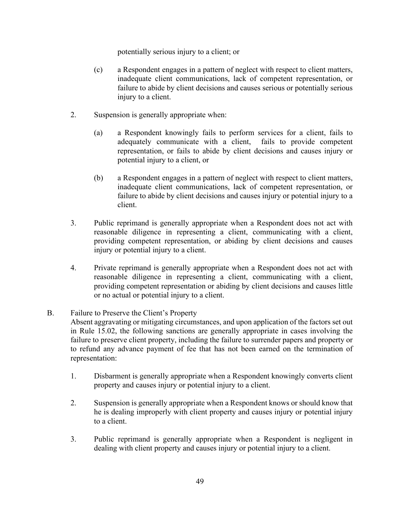potentially serious injury to a client; or

- (c) a Respondent engages in a pattern of neglect with respect to client matters, inadequate client communications, lack of competent representation, or failure to abide by client decisions and causes serious or potentially serious injury to a client.
- 2. Suspension is generally appropriate when:
	- (a) a Respondent knowingly fails to perform services for a client, fails to adequately communicate with a client, fails to provide competent representation, or fails to abide by client decisions and causes injury or potential injury to a client, or
	- (b) a Respondent engages in a pattern of neglect with respect to client matters, inadequate client communications, lack of competent representation, or failure to abide by client decisions and causes injury or potential injury to a client.
- 3. Public reprimand is generally appropriate when a Respondent does not act with reasonable diligence in representing a client, communicating with a client, providing competent representation, or abiding by client decisions and causes injury or potential injury to a client.
- 4. Private reprimand is generally appropriate when a Respondent does not act with reasonable diligence in representing a client, communicating with a client, providing competent representation or abiding by client decisions and causes little or no actual or potential injury to a client.
- B. Failure to Preserve the Client's Property
	- Absent aggravating or mitigating circumstances, and upon application of the factors set out in Rule 15.02, the following sanctions are generally appropriate in cases involving the failure to preserve client property, including the failure to surrender papers and property or to refund any advance payment of fee that has not been earned on the termination of representation:
		- 1. Disbarment is generally appropriate when a Respondent knowingly converts client property and causes injury or potential injury to a client.
	- 2. Suspension is generally appropriate when a Respondent knows or should know that he is dealing improperly with client property and causes injury or potential injury to a client.
	- 3. Public reprimand is generally appropriate when a Respondent is negligent in dealing with client property and causes injury or potential injury to a client.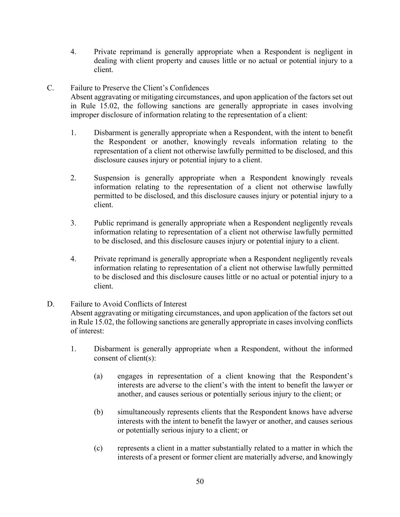- 4. Private reprimand is generally appropriate when a Respondent is negligent in dealing with client property and causes little or no actual or potential injury to a client.
- C. Failure to Preserve the Client's Confidences

Absent aggravating or mitigating circumstances, and upon application of the factors set out in Rule 15.02, the following sanctions are generally appropriate in cases involving improper disclosure of information relating to the representation of a client:

- 1. Disbarment is generally appropriate when a Respondent, with the intent to benefit the Respondent or another, knowingly reveals information relating to the representation of a client not otherwise lawfully permitted to be disclosed, and this disclosure causes injury or potential injury to a client.
- 2. Suspension is generally appropriate when a Respondent knowingly reveals information relating to the representation of a client not otherwise lawfully permitted to be disclosed, and this disclosure causes injury or potential injury to a client.
- 3. Public reprimand is generally appropriate when a Respondent negligently reveals information relating to representation of a client not otherwise lawfully permitted to be disclosed, and this disclosure causes injury or potential injury to a client.
- 4. Private reprimand is generally appropriate when a Respondent negligently reveals information relating to representation of a client not otherwise lawfully permitted to be disclosed and this disclosure causes little or no actual or potential injury to a client.
- D. Failure to Avoid Conflicts of Interest

Absent aggravating or mitigating circumstances, and upon application of the factors set out in Rule 15.02, the following sanctions are generally appropriate in cases involving conflicts of interest:

- 1. Disbarment is generally appropriate when a Respondent, without the informed consent of client(s):
	- (a) engages in representation of a client knowing that the Respondent's interests are adverse to the client's with the intent to benefit the lawyer or another, and causes serious or potentially serious injury to the client; or
	- (b) simultaneously represents clients that the Respondent knows have adverse interests with the intent to benefit the lawyer or another, and causes serious or potentially serious injury to a client; or
	- (c) represents a client in a matter substantially related to a matter in which the interests of a present or former client are materially adverse, and knowingly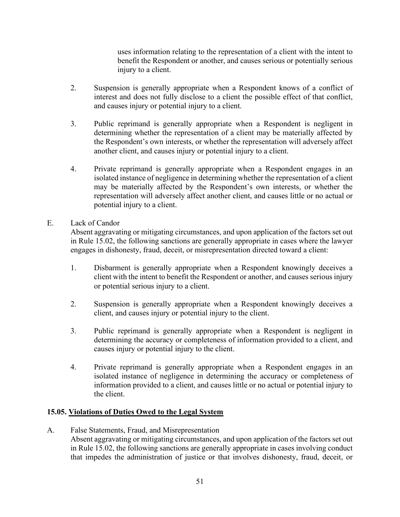uses information relating to the representation of a client with the intent to benefit the Respondent or another, and causes serious or potentially serious injury to a client.

- 2. Suspension is generally appropriate when a Respondent knows of a conflict of interest and does not fully disclose to a client the possible effect of that conflict, and causes injury or potential injury to a client.
- 3. Public reprimand is generally appropriate when a Respondent is negligent in determining whether the representation of a client may be materially affected by the Respondent's own interests, or whether the representation will adversely affect another client, and causes injury or potential injury to a client.
- 4. Private reprimand is generally appropriate when a Respondent engages in an isolated instance of negligence in determining whether the representation of a client may be materially affected by the Respondent's own interests, or whether the representation will adversely affect another client, and causes little or no actual or potential injury to a client.

#### E. Lack of Candor

Absent aggravating or mitigating circumstances, and upon application of the factors set out in Rule 15.02, the following sanctions are generally appropriate in cases where the lawyer engages in dishonesty, fraud, deceit, or misrepresentation directed toward a client:

- 1. Disbarment is generally appropriate when a Respondent knowingly deceives a client with the intent to benefit the Respondent or another, and causes serious injury or potential serious injury to a client.
- 2. Suspension is generally appropriate when a Respondent knowingly deceives a client, and causes injury or potential injury to the client.
- 3. Public reprimand is generally appropriate when a Respondent is negligent in determining the accuracy or completeness of information provided to a client, and causes injury or potential injury to the client.
- 4. Private reprimand is generally appropriate when a Respondent engages in an isolated instance of negligence in determining the accuracy or completeness of information provided to a client, and causes little or no actual or potential injury to the client.

#### **15.05. Violations of Duties Owed to the Legal System**

A. False Statements, Fraud, and Misrepresentation Absent aggravating or mitigating circumstances, and upon application of the factors set out in Rule 15.02, the following sanctions are generally appropriate in cases involving conduct that impedes the administration of justice or that involves dishonesty, fraud, deceit, or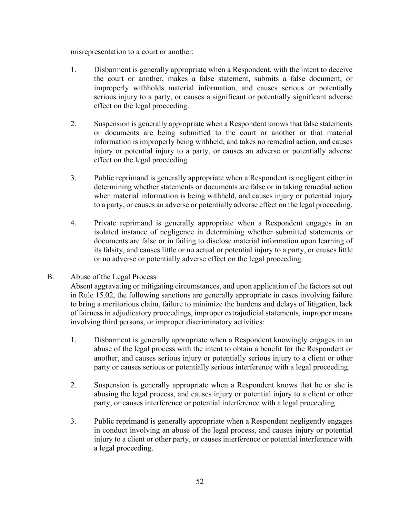misrepresentation to a court or another:

- 1. Disbarment is generally appropriate when a Respondent, with the intent to deceive the court or another, makes a false statement, submits a false document, or improperly withholds material information, and causes serious or potentially serious injury to a party, or causes a significant or potentially significant adverse effect on the legal proceeding.
- 2. Suspension is generally appropriate when a Respondent knows that false statements or documents are being submitted to the court or another or that material information is improperly being withheld, and takes no remedial action, and causes injury or potential injury to a party, or causes an adverse or potentially adverse effect on the legal proceeding.
- 3. Public reprimand is generally appropriate when a Respondent is negligent either in determining whether statements or documents are false or in taking remedial action when material information is being withheld, and causes injury or potential injury to a party, or causes an adverse or potentially adverse effect on the legal proceeding.
- 4. Private reprimand is generally appropriate when a Respondent engages in an isolated instance of negligence in determining whether submitted statements or documents are false or in failing to disclose material information upon learning of its falsity, and causes little or no actual or potential injury to a party, or causes little or no adverse or potentially adverse effect on the legal proceeding.
- B. Abuse of the Legal Process

Absent aggravating or mitigating circumstances, and upon application of the factors set out in Rule 15.02, the following sanctions are generally appropriate in cases involving failure to bring a meritorious claim, failure to minimize the burdens and delays of litigation, lack of fairness in adjudicatory proceedings, improper extrajudicial statements, improper means involving third persons, or improper discriminatory activities:

- 1. Disbarment is generally appropriate when a Respondent knowingly engages in an abuse of the legal process with the intent to obtain a benefit for the Respondent or another, and causes serious injury or potentially serious injury to a client or other party or causes serious or potentially serious interference with a legal proceeding.
- 2. Suspension is generally appropriate when a Respondent knows that he or she is abusing the legal process, and causes injury or potential injury to a client or other party, or causes interference or potential interference with a legal proceeding.
- 3. Public reprimand is generally appropriate when a Respondent negligently engages in conduct involving an abuse of the legal process, and causes injury or potential injury to a client or other party, or causes interference or potential interference with a legal proceeding.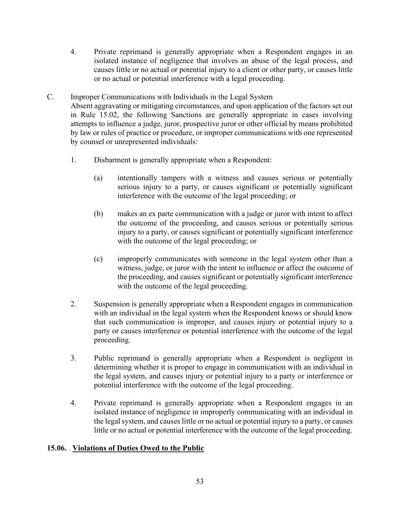- 4. Private reprimand is generally appropriate when a Respondent engages in an isolated instance of negligence that involves an abuse of the legal process, and causes little or no actual or potential injury to a client or other party, or causes little or no actual or potential interference with a legal proceeding.
- C. Improper Communications with Individuals in the Legal System Absent aggravating or mitigating circumstances, and upon application of the factors set out in Rule 15.02, the following Sanctions are generally appropriate in cases involving attempts to influence a judge, juror, prospective juror or other official by means prohibited by law or rules of practice or procedure, or improper communications with one represented by counsel or unrepresented individuals:
	- 1. Disbarment is generally appropriate when a Respondent:
		- (a) intentionally tampers with a witness and causes serious or potentially serious injury to a party, or causes significant or potentially significant interference with the outcome of the legal proceeding; or
		- (b) makes an ex parte communication with a judge or juror with intent to affect the outcome of the proceeding, and causes serious or potentially serious injury to a party, or causes significant or potentially significant interference with the outcome of the legal proceeding; or
		- (c) improperly communicates with someone in the legal system other than a witness, judge, or juror with the intent to influence or affect the outcome of the proceeding, and causes significant or potentially significant interference with the outcome of the legal proceeding.
	- 2. Suspension is generally appropriate when a Respondent engages in communication with an individual in the legal system when the Respondent knows or should know that such communication is improper, and causes injury or potential injury to a party or causes interference or potential interference with the outcome of the legal proceeding.
	- 3. Public reprimand is generally appropriate when a Respondent is negligent in determining whether it is proper to engage in communication with an individual in the legal system, and causes injury or potential injury to a party or interference or potential interference with the outcome of the legal proceeding.
	- 4. Private reprimand is generally appropriate when a Respondent engages in an isolated instance of negligence in improperly communicating with an individual in the legal system, and causes little or no actual or potential injury to a party, or causes little or no actual or potential interference with the outcome of the legal proceeding.

#### **15.06. Violations of Duties Owed to the Public**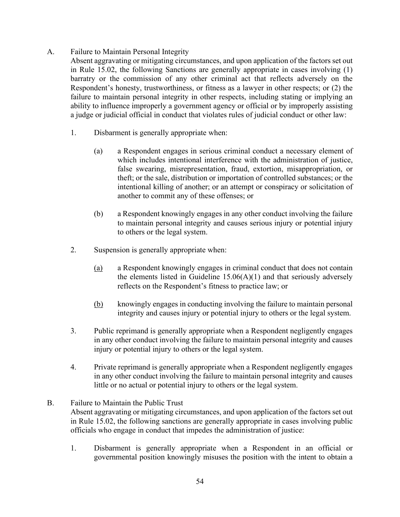- A. Failure to Maintain Personal Integrity
	- Absent aggravating or mitigating circumstances, and upon application of the factors set out in Rule 15.02, the following Sanctions are generally appropriate in cases involving (1) barratry or the commission of any other criminal act that reflects adversely on the Respondent's honesty, trustworthiness, or fitness as a lawyer in other respects; or (2) the failure to maintain personal integrity in other respects, including stating or implying an ability to influence improperly a government agency or official or by improperly assisting a judge or judicial official in conduct that violates rules of judicial conduct or other law:
		- 1. Disbarment is generally appropriate when:
			- (a) a Respondent engages in serious criminal conduct a necessary element of which includes intentional interference with the administration of justice, false swearing, misrepresentation, fraud, extortion, misappropriation, or theft; or the sale, distribution or importation of controlled substances; or the intentional killing of another; or an attempt or conspiracy or solicitation of another to commit any of these offenses; or
			- (b) a Respondent knowingly engages in any other conduct involving the failure to maintain personal integrity and causes serious injury or potential injury to others or the legal system.
		- 2. Suspension is generally appropriate when:
			- (a) a Respondent knowingly engages in criminal conduct that does not contain the elements listed in Guideline 15.06(A)(1) and that seriously adversely reflects on the Respondent's fitness to practice law; or
			- (b) knowingly engages in conducting involving the failure to maintain personal integrity and causes injury or potential injury to others or the legal system.
		- 3. Public reprimand is generally appropriate when a Respondent negligently engages in any other conduct involving the failure to maintain personal integrity and causes injury or potential injury to others or the legal system.
		- 4. Private reprimand is generally appropriate when a Respondent negligently engages in any other conduct involving the failure to maintain personal integrity and causes little or no actual or potential injury to others or the legal system.
- B. Failure to Maintain the Public Trust Absent aggravating or mitigating circumstances, and upon application of the factors set out in Rule 15.02, the following sanctions are generally appropriate in cases involving public officials who engage in conduct that impedes the administration of justice:
	- 1. Disbarment is generally appropriate when a Respondent in an official or governmental position knowingly misuses the position with the intent to obtain a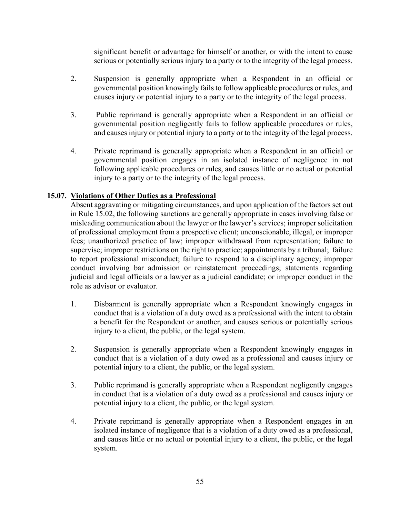significant benefit or advantage for himself or another, or with the intent to cause serious or potentially serious injury to a party or to the integrity of the legal process.

- 2. Suspension is generally appropriate when a Respondent in an official or governmental position knowingly fails to follow applicable procedures or rules, and causes injury or potential injury to a party or to the integrity of the legal process.
- 3. Public reprimand is generally appropriate when a Respondent in an official or governmental position negligently fails to follow applicable procedures or rules, and causes injury or potential injury to a party or to the integrity of the legal process.
- 4. Private reprimand is generally appropriate when a Respondent in an official or governmental position engages in an isolated instance of negligence in not following applicable procedures or rules, and causes little or no actual or potential injury to a party or to the integrity of the legal process.

#### **15.07. Violations of Other Duties as a Professional**

Absent aggravating or mitigating circumstances, and upon application of the factors set out in Rule 15.02, the following sanctions are generally appropriate in cases involving false or misleading communication about the lawyer or the lawyer's services; improper solicitation of professional employment from a prospective client; unconscionable, illegal, or improper fees; unauthorized practice of law; improper withdrawal from representation; failure to supervise; improper restrictions on the right to practice; appointments by a tribunal; failure to report professional misconduct; failure to respond to a disciplinary agency; improper conduct involving bar admission or reinstatement proceedings; statements regarding judicial and legal officials or a lawyer as a judicial candidate; or improper conduct in the role as advisor or evaluator.

- 1. Disbarment is generally appropriate when a Respondent knowingly engages in conduct that is a violation of a duty owed as a professional with the intent to obtain a benefit for the Respondent or another, and causes serious or potentially serious injury to a client, the public, or the legal system.
- 2. Suspension is generally appropriate when a Respondent knowingly engages in conduct that is a violation of a duty owed as a professional and causes injury or potential injury to a client, the public, or the legal system.
- 3. Public reprimand is generally appropriate when a Respondent negligently engages in conduct that is a violation of a duty owed as a professional and causes injury or potential injury to a client, the public, or the legal system.
- 4. Private reprimand is generally appropriate when a Respondent engages in an isolated instance of negligence that is a violation of a duty owed as a professional, and causes little or no actual or potential injury to a client, the public, or the legal system.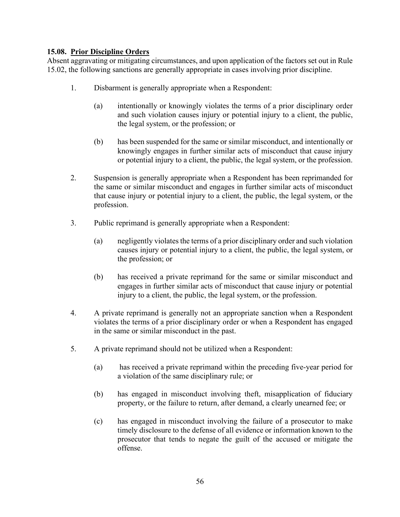### **15.08. Prior Discipline Orders**

Absent aggravating or mitigating circumstances, and upon application of the factors set out in Rule 15.02, the following sanctions are generally appropriate in cases involving prior discipline.

- 1. Disbarment is generally appropriate when a Respondent:
	- (a) intentionally or knowingly violates the terms of a prior disciplinary order and such violation causes injury or potential injury to a client, the public, the legal system, or the profession; or
	- (b) has been suspended for the same or similar misconduct, and intentionally or knowingly engages in further similar acts of misconduct that cause injury or potential injury to a client, the public, the legal system, or the profession.
- 2. Suspension is generally appropriate when a Respondent has been reprimanded for the same or similar misconduct and engages in further similar acts of misconduct that cause injury or potential injury to a client, the public, the legal system, or the profession.
- 3. Public reprimand is generally appropriate when a Respondent:
	- (a) negligently violates the terms of a prior disciplinary order and such violation causes injury or potential injury to a client, the public, the legal system, or the profession; or
	- (b) has received a private reprimand for the same or similar misconduct and engages in further similar acts of misconduct that cause injury or potential injury to a client, the public, the legal system, or the profession.
- 4. A private reprimand is generally not an appropriate sanction when a Respondent violates the terms of a prior disciplinary order or when a Respondent has engaged in the same or similar misconduct in the past.
- 5. A private reprimand should not be utilized when a Respondent:
	- (a) has received a private reprimand within the preceding five-year period for a violation of the same disciplinary rule; or
	- (b) has engaged in misconduct involving theft, misapplication of fiduciary property, or the failure to return, after demand, a clearly unearned fee; or
	- (c) has engaged in misconduct involving the failure of a prosecutor to make timely disclosure to the defense of all evidence or information known to the prosecutor that tends to negate the guilt of the accused or mitigate the offense.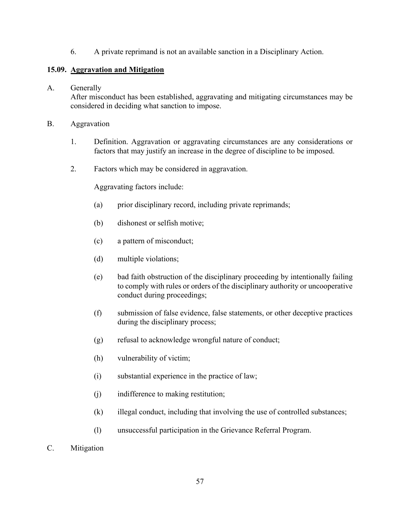6. A private reprimand is not an available sanction in a Disciplinary Action.

#### **15.09. Aggravation and Mitigation**

#### A. Generally

After misconduct has been established, aggravating and mitigating circumstances may be considered in deciding what sanction to impose.

#### B. Aggravation

- 1. Definition. Aggravation or aggravating circumstances are any considerations or factors that may justify an increase in the degree of discipline to be imposed.
- 2. Factors which may be considered in aggravation.

Aggravating factors include:

- (a) prior disciplinary record, including private reprimands;
- (b) dishonest or selfish motive;
- (c) a pattern of misconduct;
- (d) multiple violations;
- (e) bad faith obstruction of the disciplinary proceeding by intentionally failing to comply with rules or orders of the disciplinary authority or uncooperative conduct during proceedings;
- (f) submission of false evidence, false statements, or other deceptive practices during the disciplinary process;
- (g) refusal to acknowledge wrongful nature of conduct;
- (h) vulnerability of victim;
- (i) substantial experience in the practice of law;
- (j) indifference to making restitution;
- (k) illegal conduct, including that involving the use of controlled substances;
- (l) unsuccessful participation in the Grievance Referral Program.
- C. Mitigation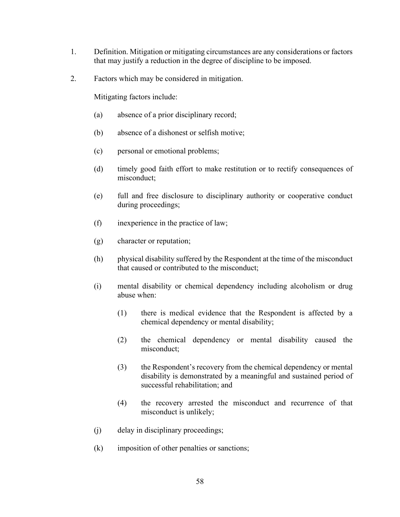- 1. Definition. Mitigation or mitigating circumstances are any considerations or factors that may justify a reduction in the degree of discipline to be imposed.
- 2. Factors which may be considered in mitigation.

Mitigating factors include:

- (a) absence of a prior disciplinary record;
- (b) absence of a dishonest or selfish motive;
- (c) personal or emotional problems;
- (d) timely good faith effort to make restitution or to rectify consequences of misconduct;
- (e) full and free disclosure to disciplinary authority or cooperative conduct during proceedings;
- (f) inexperience in the practice of law;
- (g) character or reputation;
- (h) physical disability suffered by the Respondent at the time of the misconduct that caused or contributed to the misconduct;
- (i) mental disability or chemical dependency including alcoholism or drug abuse when:
	- (1) there is medical evidence that the Respondent is affected by a chemical dependency or mental disability;
	- (2) the chemical dependency or mental disability caused the misconduct;
	- (3) the Respondent's recovery from the chemical dependency or mental disability is demonstrated by a meaningful and sustained period of successful rehabilitation; and
	- (4) the recovery arrested the misconduct and recurrence of that misconduct is unlikely;
- (j) delay in disciplinary proceedings;
- (k) imposition of other penalties or sanctions;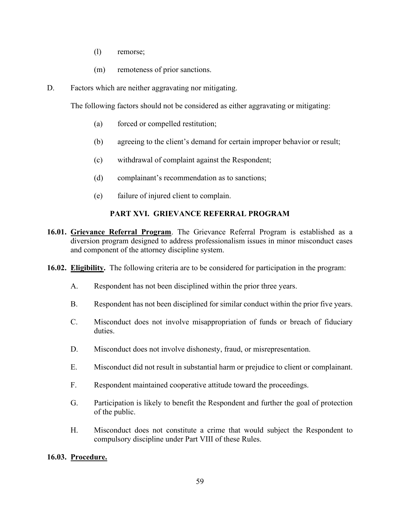- (l) remorse;
- (m) remoteness of prior sanctions.
- D. Factors which are neither aggravating nor mitigating.

The following factors should not be considered as either aggravating or mitigating:

- (a) forced or compelled restitution;
- (b) agreeing to the client's demand for certain improper behavior or result;
- (c) withdrawal of complaint against the Respondent;
- (d) complainant's recommendation as to sanctions;
- (e) failure of injured client to complain.

#### **PART XVI. GRIEVANCE REFERRAL PROGRAM**

- **16.01. Grievance Referral Program**. The Grievance Referral Program is established as a diversion program designed to address professionalism issues in minor misconduct cases and component of the attorney discipline system.
- **16.02. Eligibility.** The following criteria are to be considered for participation in the program:
	- A. Respondent has not been disciplined within the prior three years.
	- B. Respondent has not been disciplined for similar conduct within the prior five years.
	- C. Misconduct does not involve misappropriation of funds or breach of fiduciary duties.
	- D. Misconduct does not involve dishonesty, fraud, or misrepresentation.
	- E. Misconduct did not result in substantial harm or prejudice to client or complainant.
	- F. Respondent maintained cooperative attitude toward the proceedings.
	- G. Participation is likely to benefit the Respondent and further the goal of protection of the public.
	- H. Misconduct does not constitute a crime that would subject the Respondent to compulsory discipline under Part VIII of these Rules.

#### **16.03. Procedure.**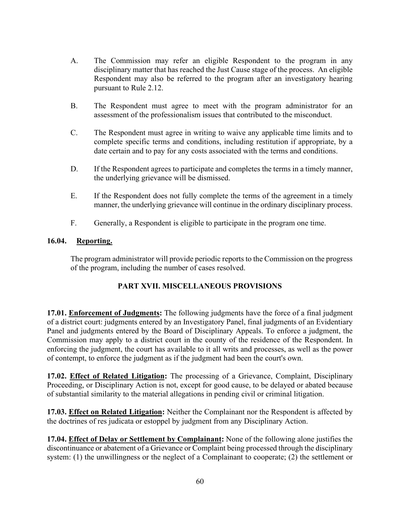- A. The Commission may refer an eligible Respondent to the program in any disciplinary matter that has reached the Just Cause stage of the process. An eligible Respondent may also be referred to the program after an investigatory hearing pursuant to Rule 2.12.
- B. The Respondent must agree to meet with the program administrator for an assessment of the professionalism issues that contributed to the misconduct.
- C. The Respondent must agree in writing to waive any applicable time limits and to complete specific terms and conditions, including restitution if appropriate, by a date certain and to pay for any costs associated with the terms and conditions.
- D. If the Respondent agrees to participate and completes the terms in a timely manner, the underlying grievance will be dismissed.
- E. If the Respondent does not fully complete the terms of the agreement in a timely manner, the underlying grievance will continue in the ordinary disciplinary process.
- F. Generally, a Respondent is eligible to participate in the program one time.

#### **16.04. Reporting.**

The program administrator will provide periodic reports to the Commission on the progress of the program, including the number of cases resolved.

#### **PART XVII. MISCELLANEOUS PROVISIONS**

**17.01. Enforcement of Judgments:** The following judgments have the force of a final judgment of a district court: judgments entered by an Investigatory Panel, final judgments of an Evidentiary Panel and judgments entered by the Board of Disciplinary Appeals. To enforce a judgment, the Commission may apply to a district court in the county of the residence of the Respondent. In enforcing the judgment, the court has available to it all writs and processes, as well as the power of contempt, to enforce the judgment as if the judgment had been the court's own.

**17.02. Effect of Related Litigation:** The processing of a Grievance, Complaint, Disciplinary Proceeding, or Disciplinary Action is not, except for good cause, to be delayed or abated because of substantial similarity to the material allegations in pending civil or criminal litigation.

**17.03. Effect on Related Litigation:** Neither the Complainant nor the Respondent is affected by the doctrines of res judicata or estoppel by judgment from any Disciplinary Action.

**17.04. Effect of Delay or Settlement by Complainant:** None of the following alone justifies the discontinuance or abatement of a Grievance or Complaint being processed through the disciplinary system: (1) the unwillingness or the neglect of a Complainant to cooperate; (2) the settlement or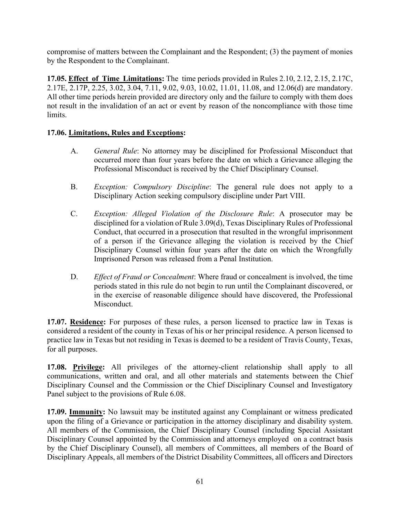compromise of matters between the Complainant and the Respondent; (3) the payment of monies by the Respondent to the Complainant.

**17.05. Effect of Time Limitations:** The time periods provided in Rules 2.10, 2.12, 2.15, 2.17C, 2.17E, 2.17P, 2.25, 3.02, 3.04, 7.11, 9.02, 9.03, 10.02, 11.01, 11.08, and 12.06(d) are mandatory. All other time periods herein provided are directory only and the failure to comply with them does not result in the invalidation of an act or event by reason of the noncompliance with those time limits.

#### **17.06. Limitations, Rules and Exceptions:**

- A. *General Rule*: No attorney may be disciplined for Professional Misconduct that occurred more than four years before the date on which a Grievance alleging the Professional Misconduct is received by the Chief Disciplinary Counsel.
- B. *Exception: Compulsory Discipline*: The general rule does not apply to a Disciplinary Action seeking compulsory discipline under Part VIII.
- C. *Exception: Alleged Violation of the Disclosure Rule*: A prosecutor may be disciplined for a violation of Rule 3.09(d), Texas Disciplinary Rules of Professional Conduct, that occurred in a prosecution that resulted in the wrongful imprisonment of a person if the Grievance alleging the violation is received by the Chief Disciplinary Counsel within four years after the date on which the Wrongfully Imprisoned Person was released from a Penal Institution.
- D. *Effect of Fraud or Concealment*: Where fraud or concealment is involved, the time periods stated in this rule do not begin to run until the Complainant discovered, or in the exercise of reasonable diligence should have discovered, the Professional Misconduct.

**17.07. Residence:** For purposes of these rules, a person licensed to practice law in Texas is considered a resident of the county in Texas of his or her principal residence. A person licensed to practice law in Texas but not residing in Texas is deemed to be a resident of Travis County, Texas, for all purposes.

**17.08. Privilege:** All privileges of the attorney-client relationship shall apply to all communications, written and oral, and all other materials and statements between the Chief Disciplinary Counsel and the Commission or the Chief Disciplinary Counsel and Investigatory Panel subject to the provisions of Rule 6.08.

**17.09. Immunity:** No lawsuit may be instituted against any Complainant or witness predicated upon the filing of a Grievance or participation in the attorney disciplinary and disability system. All members of the Commission, the Chief Disciplinary Counsel (including Special Assistant Disciplinary Counsel appointed by the Commission and attorneys employed on a contract basis by the Chief Disciplinary Counsel), all members of Committees, all members of the Board of Disciplinary Appeals, all members of the District Disability Committees, all officers and Directors